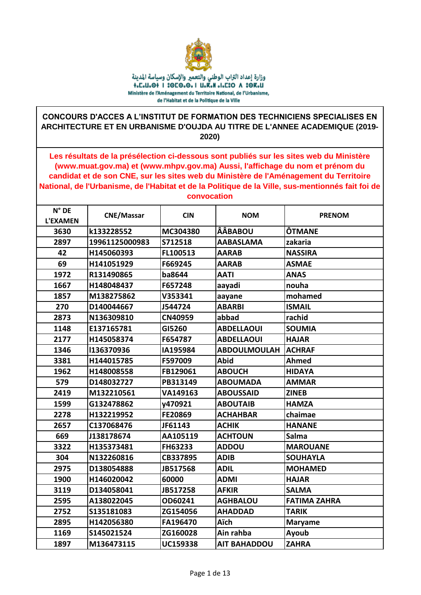

## CONCOURS D'ACCES A L'INSTITUT DE FORMATION DES TECHNICIENS SPECIALISES EN ARCHITECTURE ET EN URBANISME D'OUJDA AU TITRE DE L'ANNEE ACADEMIQUE (2019-2020)

Les résultats de la présélection ci-dessous sont publiés sur les sites web du Ministère (www.muat.gov.ma) et (www.mhpv.gov.ma) Aussi, l'affichage du nom et prénom du candidat et de son CNE, sur les sites web du Ministère de l'Aménagement du Territoire National, de l'Urbanisme, de l'Habitat et de la Politique de la Ville, sus-mentionnés fait foi de convocation

| $N^{\circ}$ DE<br><b>L'EXAMEN</b> | <b>CNE/Massar</b> | <b>CIN</b>      | <b>NOM</b>          | <b>PRENOM</b>       |
|-----------------------------------|-------------------|-----------------|---------------------|---------------------|
| 3630                              | k133228552        | MC304380        | <b>ÂÂBABOU</b>      | ÔTMANE              |
| 2897                              | 19961125000983    | S712518         | <b>AABASLAMA</b>    | zakaria             |
| 42                                | H145060393        | FL100513        | <b>AARAB</b>        | <b>NASSIRA</b>      |
| 69                                | H141051929        | F669245         | <b>AARAB</b>        | <b>ASMAE</b>        |
| 1972                              | R131490865        | ba8644          | <b>AATI</b>         | <b>ANAS</b>         |
| 1667                              | H148048437        | F657248         | aayadi              | nouha               |
| 1857                              | M138275862        | V353341         | aayane              | mohamed             |
| 270                               | D140044667        | J544724         | <b>ABARBI</b>       | <b>ISMAIL</b>       |
| 2873                              | N136309810        | <b>CN40959</b>  | abbad               | rachid              |
| 1148                              | E137165781        | GI5260          | <b>ABDELLAOUI</b>   | <b>SOUMIA</b>       |
| 2177                              | H145058374        | F654787         | <b>ABDELLAOUI</b>   | <b>HAJAR</b>        |
| 1346                              | 136370936         | IA195984        | <b>ABDOULMOULAH</b> | <b>ACHRAF</b>       |
| 3381                              | H144015785        | F597009         | <b>Abid</b>         | <b>Ahmed</b>        |
| 1962                              | H148008558        | FB129061        | <b>ABOUCH</b>       | <b>HIDAYA</b>       |
| 579                               | D148032727        | PB313149        | <b>ABOUMADA</b>     | <b>AMMAR</b>        |
| 2419                              | M132210561        | VA149163        | <b>ABOUSSAID</b>    | <b>ZINEB</b>        |
| 1599                              | G132478862        | y470921         | <b>ABOUTAIB</b>     | <b>HAMZA</b>        |
| 2278                              | H132219952        | FE20869         | <b>ACHAHBAR</b>     | chaimae             |
| 2657                              | C137068476        | JF61143         | <b>ACHIK</b>        | <b>HANANE</b>       |
| 669                               | J138178674        | AA105119        | <b>ACHTOUN</b>      | Salma               |
| 3322                              | H135373481        | FH63233         | <b>ADDOU</b>        | <b>MAROUANE</b>     |
| 304                               | N132260816        | CB337895        | <b>ADIB</b>         | <b>SOUHAYLA</b>     |
| 2975                              | D138054888        | JB517568        | <b>ADIL</b>         | <b>MOHAMED</b>      |
| 1900                              | H146020042        | 60000           | <b>ADMI</b>         | <b>HAJAR</b>        |
| 3119                              | D134058041        | JB517258        | <b>AFKIR</b>        | <b>SALMA</b>        |
| 2595                              | A138022045        | OD60241         | <b>AGHBALOU</b>     | <b>FATIMA ZAHRA</b> |
| 2752                              | S135181083        | ZG154056        | <b>AHADDAD</b>      | <b>TARIK</b>        |
| 2895                              | H142056380        | FA196470        | <b>Aïch</b>         | <b>Maryame</b>      |
| 1169                              | S145021524        | ZG160028        | Ain rahba           | Ayoub               |
| 1897                              | M136473115        | <b>UC159338</b> | <b>AIT BAHADDOU</b> | <b>ZAHRA</b>        |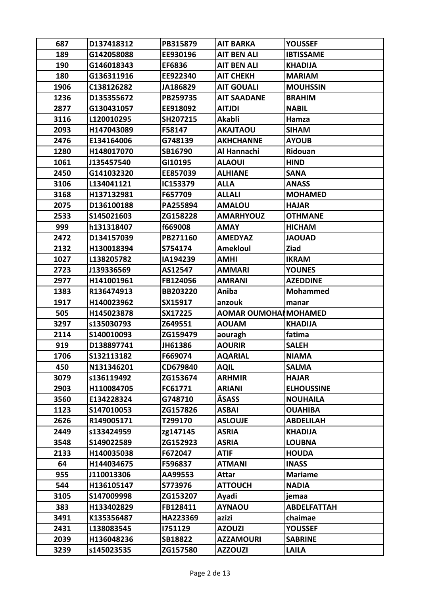| 687  | D137418312 | PB315879        | <b>AIT BARKA</b>     | <b>YOUSSEF</b>     |
|------|------------|-----------------|----------------------|--------------------|
| 189  | G142058088 | EE930196        | AIT BEN ALI          | <b>IBTISSAME</b>   |
| 190  | G146018343 | EF6836          | <b>AIT BEN ALI</b>   | <b>KHADIJA</b>     |
| 180  | G136311916 | EE922340        | <b>AIT CHEKH</b>     | <b>MARIAM</b>      |
| 1906 | C138126282 | JA186829        | <b>AIT GOUALI</b>    | <b>MOUHSSIN</b>    |
| 1236 | D135355672 | PB259735        | <b>AIT SAADANE</b>   | <b>BRAHIM</b>      |
| 2877 | G130431057 | EE918092        | <b>AITJDI</b>        | <b>NABIL</b>       |
| 3116 | L120010295 | SH207215        | <b>Akabli</b>        | Hamza              |
| 2093 | H147043089 | F58147          | <b>AKAJTAOU</b>      | <b>SIHAM</b>       |
| 2476 | E134164006 | G748139         | <b>AKHCHANNE</b>     | <b>AYOUB</b>       |
| 1280 | H148017070 | SB16790         | Al Hannachi          | <b>Ridouan</b>     |
| 1061 | J135457540 | GI10195         | <b>ALAOUI</b>        | <b>HIND</b>        |
| 2450 | G141032320 | EE857039        | <b>ALHIANE</b>       | <b>SANA</b>        |
| 3106 | L134041121 | IC153379        | <b>ALLA</b>          | <b>ANASS</b>       |
| 3168 | H137132981 | F657709         | ALLALI               | <b>MOHAMED</b>     |
| 2075 | D136100188 | PA255894        | <b>AMALOU</b>        | <b>HAJAR</b>       |
| 2533 | S145021603 | ZG158228        | <b>AMARHYOUZ</b>     | <b>OTHMANE</b>     |
| 999  | h131318407 | f669008         | <b>AMAY</b>          | <b>HICHAM</b>      |
| 2472 | D134157039 | PB271160        | <b>AMEDYAZ</b>       | <b>JAOUAD</b>      |
| 2132 | H130018394 | S754174         | <b>Amekloul</b>      | <b>Ziad</b>        |
| 1027 | L138205782 | IA194239        | <b>AMHI</b>          | <b>IKRAM</b>       |
| 2723 | J139336569 | AS12547         | <b>AMMARI</b>        | <b>YOUNES</b>      |
| 2977 | H141001961 | FB124056        | <b>AMRANI</b>        | <b>AZEDDINE</b>    |
| 1383 | R136474913 | <b>BB203220</b> | Aniba                | <b>Mohammed</b>    |
| 1917 | H140023962 | SX15917         | anzouk               | manar              |
| 505  | H145023878 | SX17225         | AOMAR OUMOHAIMOHAMED |                    |
| 3297 | s135030793 | Z649551         | <b>AOUAM</b>         | <b>KHADIJA</b>     |
| 2114 | S140010093 | ZG159479        | aouragh              | fatima             |
| 919  | D138897741 | JH61386         | <b>AOURIR</b>        | <b>SALEH</b>       |
| 1706 | S132113182 | F669074         | <b>AQARIAL</b>       | <b>NIAMA</b>       |
| 450  | N131346201 | CD679840        | <b>AQIL</b>          | <b>SALMA</b>       |
| 3079 | s136119492 | ZG153674        | <b>ARHMIR</b>        | <b>HAJAR</b>       |
| 2903 | H110084705 | FC61771         | ARIANI               | <b>ELHOUSSINE</b>  |
| 3560 | E134228324 | G748710         | ÂSASS                | <b>NOUHAILA</b>    |
| 1123 | S147010053 | ZG157826        | <b>ASBAI</b>         | <b>OUAHIBA</b>     |
| 2626 | R149005171 | T299170         | <b>ASLOUJE</b>       | <b>ABDELILAH</b>   |
| 2449 | s133424959 | zg147145        | <b>ASRIA</b>         | <b>KHADIJA</b>     |
| 3548 | S149022589 | ZG152923        | <b>ASRIA</b>         | <b>LOUBNA</b>      |
| 2133 | H140035038 | F672047         | <b>ATIF</b>          | <b>HOUDA</b>       |
| 64   | H144034675 | F596837         | <b>ATMANI</b>        | <b>INASS</b>       |
| 955  | J110013306 | AA99553         | Attar                | <b>Mariame</b>     |
| 544  | H136105147 | S773976         | <b>ATTOUCH</b>       | <b>NADIA</b>       |
| 3105 | S147009998 | ZG153207        | Ayadi                | jemaa              |
| 383  | H133402829 | FB128411        | <b>AYNAOU</b>        | <b>ABDELFATTAH</b> |
| 3491 | K135356487 | HA223369        | azizi                | chaimae            |
| 2431 | L138083545 | 1751129         | <b>AZOUZI</b>        | <b>YOUSSEF</b>     |
| 2039 | H136048236 | SB18822         | <b>AZZAMOURI</b>     | <b>SABRINE</b>     |
| 3239 | s145023535 | ZG157580        | <b>AZZOUZI</b>       | <b>LAILA</b>       |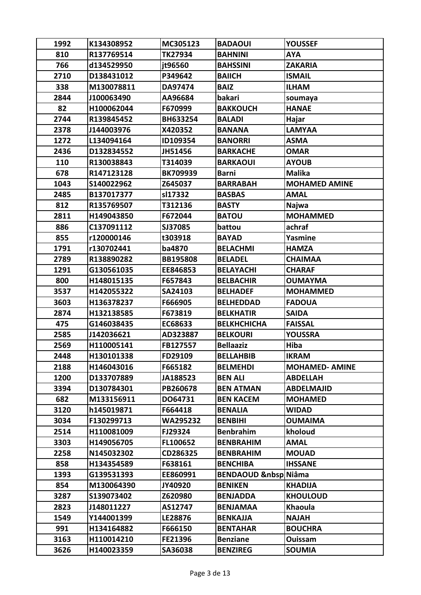| 810<br>R137769514<br>TK27934<br><b>BAHNINI</b><br><b>AYA</b><br>766<br>d134529950<br>jt96560<br><b>BAHSSINI</b><br><b>ZAKARIA</b><br>P349642<br>2710<br>D138431012<br><b>BAIICH</b><br><b>ISMAIL</b><br>338<br><b>BAIZ</b><br>M130078811<br>DA97474<br><b>ILHAM</b><br>bakari<br>2844<br>J100063490<br>AA96684<br>soumaya<br>82<br>H100062044<br>F670999<br><b>BAKKOUCH</b><br><b>HANAE</b><br>2744<br>R139845452<br>BH633254<br><b>BALADI</b><br>Hajar<br>2378<br><b>LAMYAA</b><br>J144003976<br>X420352<br><b>BANANA</b><br>1272<br>L134094164<br>ID109354<br><b>BANORRI</b><br><b>ASMA</b><br>2436<br><b>OMAR</b><br>D132834552<br>JH51456<br><b>BARKACHE</b><br>110<br>R130038843<br>T314039<br><b>AYOUB</b><br><b>BARKAOUI</b><br>678<br>R147123128<br><b>BK709939</b><br><b>Malika</b><br><b>Barni</b><br>1043<br>S140022962<br>Z645037<br><b>MOHAMED AMINE</b><br><b>BARRABAH</b><br>2485<br>B137017377<br>sl17332<br><b>BASBAS</b><br><b>AMAL</b><br>812<br>R135769507<br>T312136<br><b>BASTY</b><br><b>Najwa</b><br>2811<br><b>MOHAMMED</b><br>H149043850<br>F672044<br><b>BATOU</b><br>886<br>C137091112<br>SJ37085<br>achraf<br>battou<br>855<br>r120000146<br>t303918<br><b>BAYAD</b><br>Yasmine<br>1791<br>r130702441<br>ba4870<br><b>BELACHMI</b><br><b>HAMZA</b><br>2789<br>R138890282<br><b>BB195808</b><br><b>BELADEL</b><br><b>CHAIMAA</b><br>1291<br>G130561035<br>EE846853<br><b>BELAYACHI</b><br><b>CHARAF</b><br>800<br>H148015135<br>F657843<br><b>BELBACHIR</b><br><b>OUMAYMA</b><br>3537<br>H142055322<br>SA24103<br><b>BELHADEF</b><br><b>MOHAMMED</b><br>3603<br>H136378237<br>F666905<br><b>BELHEDDAD</b><br><b>FADOUA</b><br>2874<br><b>BELKHATIR</b><br>H132138585<br>F673819<br><b>SAIDA</b><br>475<br>G146038435<br>EC68633<br><b>BELKHCHICHA</b><br><b>FAISSAL</b><br>2585<br>J142036621<br>AD323887<br><b>BELKOURI</b><br><b>YOUSSRA</b><br>2569<br>H110005141<br><b>Bellaaziz</b><br>Hiba<br>FB127557<br>2448<br>H130101338<br><b>FD29109</b><br><b>BELLAHBIB</b><br><b>IKRAM</b><br>2188<br>H146043016<br>F665182<br><b>BELMEHDI</b><br><b>MOHAMED- AMINE</b><br>1200<br>D133707889<br>JA188523<br><b>BEN ALI</b><br><b>ABDELLAH</b><br>3394<br>PB260678<br><b>BEN ATMAN</b><br><b>ABDELMAJID</b><br>D130784301<br>682<br>M133156911<br>DO64731<br><b>BEN KACEM</b><br><b>MOHAMED</b><br>3120<br>h145019871<br>F664418<br><b>BENALIA</b><br><b>WIDAD</b><br>3034<br>F130299713<br><b>WA295232</b><br><b>BENBIHI</b><br><b>OUMAIMA</b><br>kholoud<br>2514<br>H110081009<br>FJ29324<br><b>Benbrahim</b><br>3303<br>H149056705<br>FL100652<br><b>BENBRAHIM</b><br><b>AMAL</b><br>2258<br>N145032302<br>CD286325<br><b>BENBRAHIM</b><br><b>MOUAD</b><br>858<br>H134354589<br>F638161<br><b>BENCHIBA</b><br><b>IHSSANE</b><br>1393<br>G139531393<br><b>BENDAOUD   Niâma</b><br>EE860991<br>854<br>M130064390<br>JY40920<br><b>BENIKEN</b><br><b>KHADIJA</b><br>3287<br>S139073402<br>Z620980<br><b>BENJADDA</b><br><b>KHOULOUD</b><br>2823<br>AS12747<br><b>Khaoula</b><br>J148011227<br><b>BENJAMAA</b><br>Y144001399<br>1549<br>LE28876<br><b>BENKAJJA</b><br><b>NAJAH</b><br>991<br>H134164882<br>F666150<br><b>BENTAHAR</b><br><b>BOUCHRA</b><br>3163<br>H110014210<br>FE21396<br><b>Benziane</b><br>Ouissam<br><b>SOUMIA</b><br>3626<br>H140023359<br>SA36038<br><b>BENZIREG</b> | 1992 | K134308952 | MC305123 | <b>BADAOUI</b> | <b>YOUSSEF</b> |
|----------------------------------------------------------------------------------------------------------------------------------------------------------------------------------------------------------------------------------------------------------------------------------------------------------------------------------------------------------------------------------------------------------------------------------------------------------------------------------------------------------------------------------------------------------------------------------------------------------------------------------------------------------------------------------------------------------------------------------------------------------------------------------------------------------------------------------------------------------------------------------------------------------------------------------------------------------------------------------------------------------------------------------------------------------------------------------------------------------------------------------------------------------------------------------------------------------------------------------------------------------------------------------------------------------------------------------------------------------------------------------------------------------------------------------------------------------------------------------------------------------------------------------------------------------------------------------------------------------------------------------------------------------------------------------------------------------------------------------------------------------------------------------------------------------------------------------------------------------------------------------------------------------------------------------------------------------------------------------------------------------------------------------------------------------------------------------------------------------------------------------------------------------------------------------------------------------------------------------------------------------------------------------------------------------------------------------------------------------------------------------------------------------------------------------------------------------------------------------------------------------------------------------------------------------------------------------------------------------------------------------------------------------------------------------------------------------------------------------------------------------------------------------------------------------------------------------------------------------------------------------------------------------------------------------------------------------------------------------------------------------------------------------------------------------------------------------------------------------------------------------------------------------------------------------------------------------------------------------------------------------------------------------------------------------------------|------|------------|----------|----------------|----------------|
|                                                                                                                                                                                                                                                                                                                                                                                                                                                                                                                                                                                                                                                                                                                                                                                                                                                                                                                                                                                                                                                                                                                                                                                                                                                                                                                                                                                                                                                                                                                                                                                                                                                                                                                                                                                                                                                                                                                                                                                                                                                                                                                                                                                                                                                                                                                                                                                                                                                                                                                                                                                                                                                                                                                                                                                                                                                                                                                                                                                                                                                                                                                                                                                                                                                                                                                      |      |            |          |                |                |
|                                                                                                                                                                                                                                                                                                                                                                                                                                                                                                                                                                                                                                                                                                                                                                                                                                                                                                                                                                                                                                                                                                                                                                                                                                                                                                                                                                                                                                                                                                                                                                                                                                                                                                                                                                                                                                                                                                                                                                                                                                                                                                                                                                                                                                                                                                                                                                                                                                                                                                                                                                                                                                                                                                                                                                                                                                                                                                                                                                                                                                                                                                                                                                                                                                                                                                                      |      |            |          |                |                |
|                                                                                                                                                                                                                                                                                                                                                                                                                                                                                                                                                                                                                                                                                                                                                                                                                                                                                                                                                                                                                                                                                                                                                                                                                                                                                                                                                                                                                                                                                                                                                                                                                                                                                                                                                                                                                                                                                                                                                                                                                                                                                                                                                                                                                                                                                                                                                                                                                                                                                                                                                                                                                                                                                                                                                                                                                                                                                                                                                                                                                                                                                                                                                                                                                                                                                                                      |      |            |          |                |                |
|                                                                                                                                                                                                                                                                                                                                                                                                                                                                                                                                                                                                                                                                                                                                                                                                                                                                                                                                                                                                                                                                                                                                                                                                                                                                                                                                                                                                                                                                                                                                                                                                                                                                                                                                                                                                                                                                                                                                                                                                                                                                                                                                                                                                                                                                                                                                                                                                                                                                                                                                                                                                                                                                                                                                                                                                                                                                                                                                                                                                                                                                                                                                                                                                                                                                                                                      |      |            |          |                |                |
|                                                                                                                                                                                                                                                                                                                                                                                                                                                                                                                                                                                                                                                                                                                                                                                                                                                                                                                                                                                                                                                                                                                                                                                                                                                                                                                                                                                                                                                                                                                                                                                                                                                                                                                                                                                                                                                                                                                                                                                                                                                                                                                                                                                                                                                                                                                                                                                                                                                                                                                                                                                                                                                                                                                                                                                                                                                                                                                                                                                                                                                                                                                                                                                                                                                                                                                      |      |            |          |                |                |
|                                                                                                                                                                                                                                                                                                                                                                                                                                                                                                                                                                                                                                                                                                                                                                                                                                                                                                                                                                                                                                                                                                                                                                                                                                                                                                                                                                                                                                                                                                                                                                                                                                                                                                                                                                                                                                                                                                                                                                                                                                                                                                                                                                                                                                                                                                                                                                                                                                                                                                                                                                                                                                                                                                                                                                                                                                                                                                                                                                                                                                                                                                                                                                                                                                                                                                                      |      |            |          |                |                |
|                                                                                                                                                                                                                                                                                                                                                                                                                                                                                                                                                                                                                                                                                                                                                                                                                                                                                                                                                                                                                                                                                                                                                                                                                                                                                                                                                                                                                                                                                                                                                                                                                                                                                                                                                                                                                                                                                                                                                                                                                                                                                                                                                                                                                                                                                                                                                                                                                                                                                                                                                                                                                                                                                                                                                                                                                                                                                                                                                                                                                                                                                                                                                                                                                                                                                                                      |      |            |          |                |                |
|                                                                                                                                                                                                                                                                                                                                                                                                                                                                                                                                                                                                                                                                                                                                                                                                                                                                                                                                                                                                                                                                                                                                                                                                                                                                                                                                                                                                                                                                                                                                                                                                                                                                                                                                                                                                                                                                                                                                                                                                                                                                                                                                                                                                                                                                                                                                                                                                                                                                                                                                                                                                                                                                                                                                                                                                                                                                                                                                                                                                                                                                                                                                                                                                                                                                                                                      |      |            |          |                |                |
|                                                                                                                                                                                                                                                                                                                                                                                                                                                                                                                                                                                                                                                                                                                                                                                                                                                                                                                                                                                                                                                                                                                                                                                                                                                                                                                                                                                                                                                                                                                                                                                                                                                                                                                                                                                                                                                                                                                                                                                                                                                                                                                                                                                                                                                                                                                                                                                                                                                                                                                                                                                                                                                                                                                                                                                                                                                                                                                                                                                                                                                                                                                                                                                                                                                                                                                      |      |            |          |                |                |
|                                                                                                                                                                                                                                                                                                                                                                                                                                                                                                                                                                                                                                                                                                                                                                                                                                                                                                                                                                                                                                                                                                                                                                                                                                                                                                                                                                                                                                                                                                                                                                                                                                                                                                                                                                                                                                                                                                                                                                                                                                                                                                                                                                                                                                                                                                                                                                                                                                                                                                                                                                                                                                                                                                                                                                                                                                                                                                                                                                                                                                                                                                                                                                                                                                                                                                                      |      |            |          |                |                |
|                                                                                                                                                                                                                                                                                                                                                                                                                                                                                                                                                                                                                                                                                                                                                                                                                                                                                                                                                                                                                                                                                                                                                                                                                                                                                                                                                                                                                                                                                                                                                                                                                                                                                                                                                                                                                                                                                                                                                                                                                                                                                                                                                                                                                                                                                                                                                                                                                                                                                                                                                                                                                                                                                                                                                                                                                                                                                                                                                                                                                                                                                                                                                                                                                                                                                                                      |      |            |          |                |                |
|                                                                                                                                                                                                                                                                                                                                                                                                                                                                                                                                                                                                                                                                                                                                                                                                                                                                                                                                                                                                                                                                                                                                                                                                                                                                                                                                                                                                                                                                                                                                                                                                                                                                                                                                                                                                                                                                                                                                                                                                                                                                                                                                                                                                                                                                                                                                                                                                                                                                                                                                                                                                                                                                                                                                                                                                                                                                                                                                                                                                                                                                                                                                                                                                                                                                                                                      |      |            |          |                |                |
|                                                                                                                                                                                                                                                                                                                                                                                                                                                                                                                                                                                                                                                                                                                                                                                                                                                                                                                                                                                                                                                                                                                                                                                                                                                                                                                                                                                                                                                                                                                                                                                                                                                                                                                                                                                                                                                                                                                                                                                                                                                                                                                                                                                                                                                                                                                                                                                                                                                                                                                                                                                                                                                                                                                                                                                                                                                                                                                                                                                                                                                                                                                                                                                                                                                                                                                      |      |            |          |                |                |
|                                                                                                                                                                                                                                                                                                                                                                                                                                                                                                                                                                                                                                                                                                                                                                                                                                                                                                                                                                                                                                                                                                                                                                                                                                                                                                                                                                                                                                                                                                                                                                                                                                                                                                                                                                                                                                                                                                                                                                                                                                                                                                                                                                                                                                                                                                                                                                                                                                                                                                                                                                                                                                                                                                                                                                                                                                                                                                                                                                                                                                                                                                                                                                                                                                                                                                                      |      |            |          |                |                |
|                                                                                                                                                                                                                                                                                                                                                                                                                                                                                                                                                                                                                                                                                                                                                                                                                                                                                                                                                                                                                                                                                                                                                                                                                                                                                                                                                                                                                                                                                                                                                                                                                                                                                                                                                                                                                                                                                                                                                                                                                                                                                                                                                                                                                                                                                                                                                                                                                                                                                                                                                                                                                                                                                                                                                                                                                                                                                                                                                                                                                                                                                                                                                                                                                                                                                                                      |      |            |          |                |                |
|                                                                                                                                                                                                                                                                                                                                                                                                                                                                                                                                                                                                                                                                                                                                                                                                                                                                                                                                                                                                                                                                                                                                                                                                                                                                                                                                                                                                                                                                                                                                                                                                                                                                                                                                                                                                                                                                                                                                                                                                                                                                                                                                                                                                                                                                                                                                                                                                                                                                                                                                                                                                                                                                                                                                                                                                                                                                                                                                                                                                                                                                                                                                                                                                                                                                                                                      |      |            |          |                |                |
|                                                                                                                                                                                                                                                                                                                                                                                                                                                                                                                                                                                                                                                                                                                                                                                                                                                                                                                                                                                                                                                                                                                                                                                                                                                                                                                                                                                                                                                                                                                                                                                                                                                                                                                                                                                                                                                                                                                                                                                                                                                                                                                                                                                                                                                                                                                                                                                                                                                                                                                                                                                                                                                                                                                                                                                                                                                                                                                                                                                                                                                                                                                                                                                                                                                                                                                      |      |            |          |                |                |
|                                                                                                                                                                                                                                                                                                                                                                                                                                                                                                                                                                                                                                                                                                                                                                                                                                                                                                                                                                                                                                                                                                                                                                                                                                                                                                                                                                                                                                                                                                                                                                                                                                                                                                                                                                                                                                                                                                                                                                                                                                                                                                                                                                                                                                                                                                                                                                                                                                                                                                                                                                                                                                                                                                                                                                                                                                                                                                                                                                                                                                                                                                                                                                                                                                                                                                                      |      |            |          |                |                |
|                                                                                                                                                                                                                                                                                                                                                                                                                                                                                                                                                                                                                                                                                                                                                                                                                                                                                                                                                                                                                                                                                                                                                                                                                                                                                                                                                                                                                                                                                                                                                                                                                                                                                                                                                                                                                                                                                                                                                                                                                                                                                                                                                                                                                                                                                                                                                                                                                                                                                                                                                                                                                                                                                                                                                                                                                                                                                                                                                                                                                                                                                                                                                                                                                                                                                                                      |      |            |          |                |                |
|                                                                                                                                                                                                                                                                                                                                                                                                                                                                                                                                                                                                                                                                                                                                                                                                                                                                                                                                                                                                                                                                                                                                                                                                                                                                                                                                                                                                                                                                                                                                                                                                                                                                                                                                                                                                                                                                                                                                                                                                                                                                                                                                                                                                                                                                                                                                                                                                                                                                                                                                                                                                                                                                                                                                                                                                                                                                                                                                                                                                                                                                                                                                                                                                                                                                                                                      |      |            |          |                |                |
|                                                                                                                                                                                                                                                                                                                                                                                                                                                                                                                                                                                                                                                                                                                                                                                                                                                                                                                                                                                                                                                                                                                                                                                                                                                                                                                                                                                                                                                                                                                                                                                                                                                                                                                                                                                                                                                                                                                                                                                                                                                                                                                                                                                                                                                                                                                                                                                                                                                                                                                                                                                                                                                                                                                                                                                                                                                                                                                                                                                                                                                                                                                                                                                                                                                                                                                      |      |            |          |                |                |
|                                                                                                                                                                                                                                                                                                                                                                                                                                                                                                                                                                                                                                                                                                                                                                                                                                                                                                                                                                                                                                                                                                                                                                                                                                                                                                                                                                                                                                                                                                                                                                                                                                                                                                                                                                                                                                                                                                                                                                                                                                                                                                                                                                                                                                                                                                                                                                                                                                                                                                                                                                                                                                                                                                                                                                                                                                                                                                                                                                                                                                                                                                                                                                                                                                                                                                                      |      |            |          |                |                |
|                                                                                                                                                                                                                                                                                                                                                                                                                                                                                                                                                                                                                                                                                                                                                                                                                                                                                                                                                                                                                                                                                                                                                                                                                                                                                                                                                                                                                                                                                                                                                                                                                                                                                                                                                                                                                                                                                                                                                                                                                                                                                                                                                                                                                                                                                                                                                                                                                                                                                                                                                                                                                                                                                                                                                                                                                                                                                                                                                                                                                                                                                                                                                                                                                                                                                                                      |      |            |          |                |                |
|                                                                                                                                                                                                                                                                                                                                                                                                                                                                                                                                                                                                                                                                                                                                                                                                                                                                                                                                                                                                                                                                                                                                                                                                                                                                                                                                                                                                                                                                                                                                                                                                                                                                                                                                                                                                                                                                                                                                                                                                                                                                                                                                                                                                                                                                                                                                                                                                                                                                                                                                                                                                                                                                                                                                                                                                                                                                                                                                                                                                                                                                                                                                                                                                                                                                                                                      |      |            |          |                |                |
|                                                                                                                                                                                                                                                                                                                                                                                                                                                                                                                                                                                                                                                                                                                                                                                                                                                                                                                                                                                                                                                                                                                                                                                                                                                                                                                                                                                                                                                                                                                                                                                                                                                                                                                                                                                                                                                                                                                                                                                                                                                                                                                                                                                                                                                                                                                                                                                                                                                                                                                                                                                                                                                                                                                                                                                                                                                                                                                                                                                                                                                                                                                                                                                                                                                                                                                      |      |            |          |                |                |
|                                                                                                                                                                                                                                                                                                                                                                                                                                                                                                                                                                                                                                                                                                                                                                                                                                                                                                                                                                                                                                                                                                                                                                                                                                                                                                                                                                                                                                                                                                                                                                                                                                                                                                                                                                                                                                                                                                                                                                                                                                                                                                                                                                                                                                                                                                                                                                                                                                                                                                                                                                                                                                                                                                                                                                                                                                                                                                                                                                                                                                                                                                                                                                                                                                                                                                                      |      |            |          |                |                |
|                                                                                                                                                                                                                                                                                                                                                                                                                                                                                                                                                                                                                                                                                                                                                                                                                                                                                                                                                                                                                                                                                                                                                                                                                                                                                                                                                                                                                                                                                                                                                                                                                                                                                                                                                                                                                                                                                                                                                                                                                                                                                                                                                                                                                                                                                                                                                                                                                                                                                                                                                                                                                                                                                                                                                                                                                                                                                                                                                                                                                                                                                                                                                                                                                                                                                                                      |      |            |          |                |                |
|                                                                                                                                                                                                                                                                                                                                                                                                                                                                                                                                                                                                                                                                                                                                                                                                                                                                                                                                                                                                                                                                                                                                                                                                                                                                                                                                                                                                                                                                                                                                                                                                                                                                                                                                                                                                                                                                                                                                                                                                                                                                                                                                                                                                                                                                                                                                                                                                                                                                                                                                                                                                                                                                                                                                                                                                                                                                                                                                                                                                                                                                                                                                                                                                                                                                                                                      |      |            |          |                |                |
|                                                                                                                                                                                                                                                                                                                                                                                                                                                                                                                                                                                                                                                                                                                                                                                                                                                                                                                                                                                                                                                                                                                                                                                                                                                                                                                                                                                                                                                                                                                                                                                                                                                                                                                                                                                                                                                                                                                                                                                                                                                                                                                                                                                                                                                                                                                                                                                                                                                                                                                                                                                                                                                                                                                                                                                                                                                                                                                                                                                                                                                                                                                                                                                                                                                                                                                      |      |            |          |                |                |
|                                                                                                                                                                                                                                                                                                                                                                                                                                                                                                                                                                                                                                                                                                                                                                                                                                                                                                                                                                                                                                                                                                                                                                                                                                                                                                                                                                                                                                                                                                                                                                                                                                                                                                                                                                                                                                                                                                                                                                                                                                                                                                                                                                                                                                                                                                                                                                                                                                                                                                                                                                                                                                                                                                                                                                                                                                                                                                                                                                                                                                                                                                                                                                                                                                                                                                                      |      |            |          |                |                |
|                                                                                                                                                                                                                                                                                                                                                                                                                                                                                                                                                                                                                                                                                                                                                                                                                                                                                                                                                                                                                                                                                                                                                                                                                                                                                                                                                                                                                                                                                                                                                                                                                                                                                                                                                                                                                                                                                                                                                                                                                                                                                                                                                                                                                                                                                                                                                                                                                                                                                                                                                                                                                                                                                                                                                                                                                                                                                                                                                                                                                                                                                                                                                                                                                                                                                                                      |      |            |          |                |                |
|                                                                                                                                                                                                                                                                                                                                                                                                                                                                                                                                                                                                                                                                                                                                                                                                                                                                                                                                                                                                                                                                                                                                                                                                                                                                                                                                                                                                                                                                                                                                                                                                                                                                                                                                                                                                                                                                                                                                                                                                                                                                                                                                                                                                                                                                                                                                                                                                                                                                                                                                                                                                                                                                                                                                                                                                                                                                                                                                                                                                                                                                                                                                                                                                                                                                                                                      |      |            |          |                |                |
|                                                                                                                                                                                                                                                                                                                                                                                                                                                                                                                                                                                                                                                                                                                                                                                                                                                                                                                                                                                                                                                                                                                                                                                                                                                                                                                                                                                                                                                                                                                                                                                                                                                                                                                                                                                                                                                                                                                                                                                                                                                                                                                                                                                                                                                                                                                                                                                                                                                                                                                                                                                                                                                                                                                                                                                                                                                                                                                                                                                                                                                                                                                                                                                                                                                                                                                      |      |            |          |                |                |
|                                                                                                                                                                                                                                                                                                                                                                                                                                                                                                                                                                                                                                                                                                                                                                                                                                                                                                                                                                                                                                                                                                                                                                                                                                                                                                                                                                                                                                                                                                                                                                                                                                                                                                                                                                                                                                                                                                                                                                                                                                                                                                                                                                                                                                                                                                                                                                                                                                                                                                                                                                                                                                                                                                                                                                                                                                                                                                                                                                                                                                                                                                                                                                                                                                                                                                                      |      |            |          |                |                |
|                                                                                                                                                                                                                                                                                                                                                                                                                                                                                                                                                                                                                                                                                                                                                                                                                                                                                                                                                                                                                                                                                                                                                                                                                                                                                                                                                                                                                                                                                                                                                                                                                                                                                                                                                                                                                                                                                                                                                                                                                                                                                                                                                                                                                                                                                                                                                                                                                                                                                                                                                                                                                                                                                                                                                                                                                                                                                                                                                                                                                                                                                                                                                                                                                                                                                                                      |      |            |          |                |                |
|                                                                                                                                                                                                                                                                                                                                                                                                                                                                                                                                                                                                                                                                                                                                                                                                                                                                                                                                                                                                                                                                                                                                                                                                                                                                                                                                                                                                                                                                                                                                                                                                                                                                                                                                                                                                                                                                                                                                                                                                                                                                                                                                                                                                                                                                                                                                                                                                                                                                                                                                                                                                                                                                                                                                                                                                                                                                                                                                                                                                                                                                                                                                                                                                                                                                                                                      |      |            |          |                |                |
|                                                                                                                                                                                                                                                                                                                                                                                                                                                                                                                                                                                                                                                                                                                                                                                                                                                                                                                                                                                                                                                                                                                                                                                                                                                                                                                                                                                                                                                                                                                                                                                                                                                                                                                                                                                                                                                                                                                                                                                                                                                                                                                                                                                                                                                                                                                                                                                                                                                                                                                                                                                                                                                                                                                                                                                                                                                                                                                                                                                                                                                                                                                                                                                                                                                                                                                      |      |            |          |                |                |
|                                                                                                                                                                                                                                                                                                                                                                                                                                                                                                                                                                                                                                                                                                                                                                                                                                                                                                                                                                                                                                                                                                                                                                                                                                                                                                                                                                                                                                                                                                                                                                                                                                                                                                                                                                                                                                                                                                                                                                                                                                                                                                                                                                                                                                                                                                                                                                                                                                                                                                                                                                                                                                                                                                                                                                                                                                                                                                                                                                                                                                                                                                                                                                                                                                                                                                                      |      |            |          |                |                |
|                                                                                                                                                                                                                                                                                                                                                                                                                                                                                                                                                                                                                                                                                                                                                                                                                                                                                                                                                                                                                                                                                                                                                                                                                                                                                                                                                                                                                                                                                                                                                                                                                                                                                                                                                                                                                                                                                                                                                                                                                                                                                                                                                                                                                                                                                                                                                                                                                                                                                                                                                                                                                                                                                                                                                                                                                                                                                                                                                                                                                                                                                                                                                                                                                                                                                                                      |      |            |          |                |                |
|                                                                                                                                                                                                                                                                                                                                                                                                                                                                                                                                                                                                                                                                                                                                                                                                                                                                                                                                                                                                                                                                                                                                                                                                                                                                                                                                                                                                                                                                                                                                                                                                                                                                                                                                                                                                                                                                                                                                                                                                                                                                                                                                                                                                                                                                                                                                                                                                                                                                                                                                                                                                                                                                                                                                                                                                                                                                                                                                                                                                                                                                                                                                                                                                                                                                                                                      |      |            |          |                |                |
|                                                                                                                                                                                                                                                                                                                                                                                                                                                                                                                                                                                                                                                                                                                                                                                                                                                                                                                                                                                                                                                                                                                                                                                                                                                                                                                                                                                                                                                                                                                                                                                                                                                                                                                                                                                                                                                                                                                                                                                                                                                                                                                                                                                                                                                                                                                                                                                                                                                                                                                                                                                                                                                                                                                                                                                                                                                                                                                                                                                                                                                                                                                                                                                                                                                                                                                      |      |            |          |                |                |
|                                                                                                                                                                                                                                                                                                                                                                                                                                                                                                                                                                                                                                                                                                                                                                                                                                                                                                                                                                                                                                                                                                                                                                                                                                                                                                                                                                                                                                                                                                                                                                                                                                                                                                                                                                                                                                                                                                                                                                                                                                                                                                                                                                                                                                                                                                                                                                                                                                                                                                                                                                                                                                                                                                                                                                                                                                                                                                                                                                                                                                                                                                                                                                                                                                                                                                                      |      |            |          |                |                |
|                                                                                                                                                                                                                                                                                                                                                                                                                                                                                                                                                                                                                                                                                                                                                                                                                                                                                                                                                                                                                                                                                                                                                                                                                                                                                                                                                                                                                                                                                                                                                                                                                                                                                                                                                                                                                                                                                                                                                                                                                                                                                                                                                                                                                                                                                                                                                                                                                                                                                                                                                                                                                                                                                                                                                                                                                                                                                                                                                                                                                                                                                                                                                                                                                                                                                                                      |      |            |          |                |                |
|                                                                                                                                                                                                                                                                                                                                                                                                                                                                                                                                                                                                                                                                                                                                                                                                                                                                                                                                                                                                                                                                                                                                                                                                                                                                                                                                                                                                                                                                                                                                                                                                                                                                                                                                                                                                                                                                                                                                                                                                                                                                                                                                                                                                                                                                                                                                                                                                                                                                                                                                                                                                                                                                                                                                                                                                                                                                                                                                                                                                                                                                                                                                                                                                                                                                                                                      |      |            |          |                |                |
|                                                                                                                                                                                                                                                                                                                                                                                                                                                                                                                                                                                                                                                                                                                                                                                                                                                                                                                                                                                                                                                                                                                                                                                                                                                                                                                                                                                                                                                                                                                                                                                                                                                                                                                                                                                                                                                                                                                                                                                                                                                                                                                                                                                                                                                                                                                                                                                                                                                                                                                                                                                                                                                                                                                                                                                                                                                                                                                                                                                                                                                                                                                                                                                                                                                                                                                      |      |            |          |                |                |
|                                                                                                                                                                                                                                                                                                                                                                                                                                                                                                                                                                                                                                                                                                                                                                                                                                                                                                                                                                                                                                                                                                                                                                                                                                                                                                                                                                                                                                                                                                                                                                                                                                                                                                                                                                                                                                                                                                                                                                                                                                                                                                                                                                                                                                                                                                                                                                                                                                                                                                                                                                                                                                                                                                                                                                                                                                                                                                                                                                                                                                                                                                                                                                                                                                                                                                                      |      |            |          |                |                |
|                                                                                                                                                                                                                                                                                                                                                                                                                                                                                                                                                                                                                                                                                                                                                                                                                                                                                                                                                                                                                                                                                                                                                                                                                                                                                                                                                                                                                                                                                                                                                                                                                                                                                                                                                                                                                                                                                                                                                                                                                                                                                                                                                                                                                                                                                                                                                                                                                                                                                                                                                                                                                                                                                                                                                                                                                                                                                                                                                                                                                                                                                                                                                                                                                                                                                                                      |      |            |          |                |                |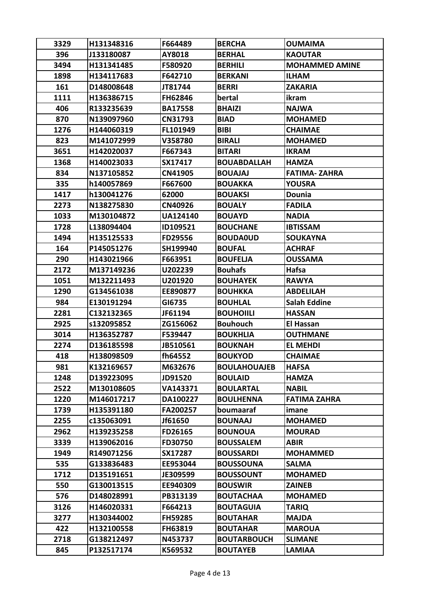| 396<br>J133180087<br>AY8018<br><b>BERHAL</b><br><b>KAOUTAR</b><br>F580920<br>3494<br>H131341485<br><b>BERHILI</b><br><b>MOHAMMED AMINE</b><br>1898<br>H134117683<br>F642710<br><b>BERKANI</b><br><b>ILHAM</b><br>161<br>D148008648<br><b>BERRI</b><br>JT81744<br><b>ZAKARIA</b> |  |
|---------------------------------------------------------------------------------------------------------------------------------------------------------------------------------------------------------------------------------------------------------------------------------|--|
|                                                                                                                                                                                                                                                                                 |  |
|                                                                                                                                                                                                                                                                                 |  |
|                                                                                                                                                                                                                                                                                 |  |
|                                                                                                                                                                                                                                                                                 |  |
| 1111<br>H136386715<br>FH62846<br>bertal<br>ikram                                                                                                                                                                                                                                |  |
| 406<br>R133235639<br><b>BA17558</b><br><b>BHAIZI</b><br><b>NAJWA</b>                                                                                                                                                                                                            |  |
| 870<br>N139097960<br>CN31793<br><b>BIAD</b><br><b>MOHAMED</b>                                                                                                                                                                                                                   |  |
| 1276<br>H144060319<br>FL101949<br><b>BIBI</b><br><b>CHAIMAE</b>                                                                                                                                                                                                                 |  |
| 823<br>M141072999<br>V358780<br><b>BIRALI</b><br><b>MOHAMED</b>                                                                                                                                                                                                                 |  |
| 3651<br>H142020037<br>F667343<br><b>BITARI</b><br><b>IKRAM</b>                                                                                                                                                                                                                  |  |
| 1368<br>H140023033<br>SX17417<br><b>BOUABDALLAH</b><br><b>HAMZA</b>                                                                                                                                                                                                             |  |
| 834<br>N137105852<br>CN41905<br><b>BOUAJAJ</b><br><b>FATIMA-ZAHRA</b>                                                                                                                                                                                                           |  |
| 335<br>F667600<br>h140057869<br><b>BOUAKKA</b><br><b>YOUSRA</b>                                                                                                                                                                                                                 |  |
| 1417<br>h130041276<br>62000<br><b>BOUAKSI</b><br>Dounia                                                                                                                                                                                                                         |  |
| 2273<br>N138275830<br>CN40926<br><b>BOUALY</b><br><b>FADILA</b>                                                                                                                                                                                                                 |  |
| 1033<br>M130104872<br><b>UA124140</b><br><b>BOUAYD</b><br><b>NADIA</b>                                                                                                                                                                                                          |  |
| 1728<br>L138094404<br>ID109521<br><b>BOUCHANE</b><br><b>IBTISSAM</b>                                                                                                                                                                                                            |  |
| 1494<br>H135125533<br>FD29556<br><b>BOUDAOUD</b><br><b>SOUKAYNA</b>                                                                                                                                                                                                             |  |
| 164<br>P145051276<br>SH199940<br><b>BOUFAL</b><br><b>ACHRAF</b>                                                                                                                                                                                                                 |  |
| 290<br>H143021966<br>F663951<br><b>BOUFELJA</b><br><b>OUSSAMA</b>                                                                                                                                                                                                               |  |
| 2172<br>Hafsa<br>M137149236<br>U202239<br><b>Bouhafs</b>                                                                                                                                                                                                                        |  |
| 1051<br>M132211493<br>U201920<br><b>BOUHAYEK</b><br><b>RAWYA</b>                                                                                                                                                                                                                |  |
| 1290<br>G134561038<br>EE890877<br><b>BOUHKKA</b><br><b>ABDELILAH</b>                                                                                                                                                                                                            |  |
| 984<br>E130191294<br>GI6735<br><b>BOUHLAL</b><br><b>Salah Eddine</b>                                                                                                                                                                                                            |  |
| 2281<br>C132132365<br>JF61194<br><b>BOUHOIILI</b><br><b>HASSAN</b>                                                                                                                                                                                                              |  |
| 2925<br>ZG156062<br><b>Bouhouch</b><br><b>El Hassan</b><br>s132095852                                                                                                                                                                                                           |  |
| 3014<br>H136352787<br>F539447<br><b>BOUKHLIA</b><br><b>OUTHMANE</b>                                                                                                                                                                                                             |  |
| 2274<br>D136185598<br>JB510561<br><b>BOUKNAH</b><br><b>EL MEHDI</b>                                                                                                                                                                                                             |  |
| fh64552<br>H138098509<br><b>BOUKYOD</b><br><b>CHAIMAE</b><br>418                                                                                                                                                                                                                |  |
| 981<br>K132169657<br>M632676<br><b>BOULAHOUAJEB</b><br><b>HAFSA</b>                                                                                                                                                                                                             |  |
| 1248<br>D139223095<br>JD91520<br><b>BOULAID</b><br><b>HAMZA</b>                                                                                                                                                                                                                 |  |
| 2522<br><b>BOULARTAL</b><br>M130108605<br>VA143371<br><b>NABIL</b>                                                                                                                                                                                                              |  |
| 1220<br>M146017217<br>DA100227<br><b>BOULHENNA</b><br><b>FATIMA ZAHRA</b>                                                                                                                                                                                                       |  |
| 1739<br>H135391180<br>FA200257<br>boumaaraf<br>imane                                                                                                                                                                                                                            |  |
| 2255<br>c135063091<br>Jf61650<br><b>BOUNAAJ</b><br><b>MOHAMED</b>                                                                                                                                                                                                               |  |
| 2962<br>H139235258<br>FD26165<br><b>BOUNOUA</b><br><b>MOURAD</b>                                                                                                                                                                                                                |  |
| 3339<br>H139062016<br>FD30750<br><b>BOUSSALEM</b><br><b>ABIR</b>                                                                                                                                                                                                                |  |
| 1949<br>R149071256<br>SX17287<br><b>BOUSSARDI</b><br><b>MOHAMMED</b>                                                                                                                                                                                                            |  |
| 535<br>G133836483<br>EE953044<br><b>BOUSSOUNA</b><br><b>SALMA</b>                                                                                                                                                                                                               |  |
| 1712<br><b>BOUSSOUNT</b><br>D135191651<br>JE309599<br><b>MOHAMED</b>                                                                                                                                                                                                            |  |
| 550<br>G130013515<br>EE940309<br><b>BOUSWIR</b><br><b>ZAINEB</b>                                                                                                                                                                                                                |  |
| 576<br>D148028991<br>PB313139<br><b>BOUTACHAA</b><br><b>MOHAMED</b>                                                                                                                                                                                                             |  |
| 3126<br>H146020331<br>F664213<br><b>BOUTAGUIA</b><br><b>TARIQ</b>                                                                                                                                                                                                               |  |
| 3277<br>H130344002<br><b>FH59285</b><br><b>BOUTAHAR</b><br><b>MAJDA</b>                                                                                                                                                                                                         |  |
| 422<br>H132100558<br>FH63819<br><b>BOUTAHAR</b><br><b>MAROUA</b>                                                                                                                                                                                                                |  |
| 2718<br>G138212497<br>N453737<br><b>BOUTARBOUCH</b><br><b>SLIMANE</b>                                                                                                                                                                                                           |  |
| 845<br>P132517174<br>K569532<br><b>BOUTAYEB</b><br><b>LAMIAA</b>                                                                                                                                                                                                                |  |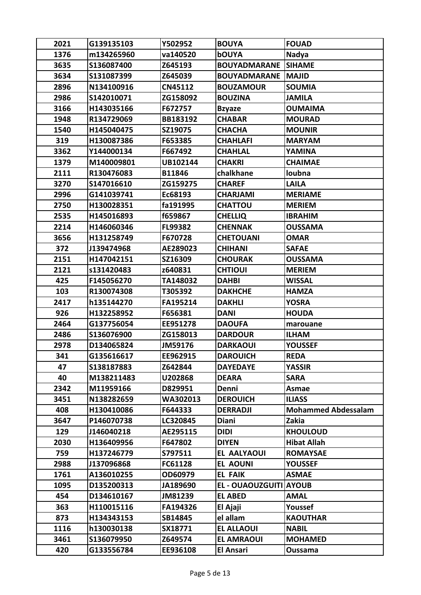| 1376<br><b>bOUYA</b><br>m134265960<br>va140520<br>Nadya<br>3635<br>S136087400<br>Z645193<br><b>BOUYADMARANE</b><br><b>SIHAME</b><br>3634<br>S131087399<br>Z645039<br><b>BOUYADMARANE</b><br><b>MAJID</b><br>2896<br>N134100916<br>CN45112<br><b>SOUMIA</b><br><b>BOUZAMOUR</b><br>2986<br>S142010071<br>ZG158092<br><b>BOUZINA</b><br><b>JAMILA</b><br>3166<br>H143035166<br>F672757<br><b>OUMAIMA</b><br><b>Bzyaze</b><br>1948<br>R134729069<br>BB183192<br><b>MOURAD</b><br><b>CHABAR</b><br>1540<br>H145040475<br>SZ19075<br><b>CHACHA</b><br><b>MOUNIR</b><br>319<br>H130087386<br>F653385<br><b>CHAHLAFI</b><br><b>MARYAM</b><br>3362<br>Y144000134<br>F667492<br><b>CHAHLAL</b><br>YAMINA<br>1379<br>M140009801<br>UB102144<br><b>CHAKRI</b><br><b>CHAIMAE</b><br>R130476083<br>2111<br>B11846<br>chalkhane<br>loubna<br>3270<br>ZG159275<br><b>LAILA</b><br>S147016610<br><b>CHAREF</b><br>2996<br><b>MERIAME</b><br>G141039741<br>Ec68193<br><b>CHARJAMI</b><br>2750<br>H130028351<br>fa191995<br><b>CHATTOU</b><br><b>MERIEM</b><br>2535<br>f659867<br>H145016893<br><b>CHELLIQ</b><br><b>IBRAHIM</b><br>2214<br>H146060346<br>FL99382<br><b>CHENNAK</b><br><b>OUSSAMA</b><br>3656<br>H131258749<br>F670728<br><b>CHETOUANI</b><br><b>OMAR</b><br>372<br>AE289023<br>J139474968<br><b>CHIHANI</b><br><b>SAFAE</b><br>2151<br>H147042151<br>SZ16309<br><b>CHOURAK</b><br><b>OUSSAMA</b><br>2121<br>s131420483<br><b>CHTIOUI</b><br>z640831<br><b>MERIEM</b><br>425<br>F145056270<br>TA148032<br><b>DAHBI</b><br><b>WISSAL</b><br>103<br>R130074308<br>T305392<br><b>DAKHCHE</b><br><b>HAMZA</b><br>2417<br>h135144270<br>FA195214<br><b>DAKHLI</b><br><b>YOSRA</b><br>926<br>H132258952<br>F656381<br><b>DANI</b><br><b>HOUDA</b><br>2464<br>G137756054<br>EE951278<br><b>DAOUFA</b><br>marouane<br>2486<br>S136076900<br>ZG158013<br><b>DARDOUR</b><br><b>ILHAM</b><br>2978<br>JM59176<br><b>YOUSSEF</b><br>D134065824<br><b>DARKAOUI</b><br>341<br>G135616617<br>EE962915<br><b>DAROUICH</b><br><b>REDA</b><br>47<br>S138187883<br>Z642844<br><b>DAYEDAYE</b><br><b>YASSIR</b><br>40<br>M138211483<br><b>DEARA</b><br><b>SARA</b><br>U202868<br>2342<br>M11959166<br>D829951<br>Denni<br>Asmae<br>N138282659<br>WA302013<br>3451<br><b>DEROUICH</b><br><b>ILIASS</b><br>408<br><b>Mohammed Abdessalam</b><br>H130410086<br>F644333<br><b>DERRADJI</b><br>3647<br>P146070738<br><b>Diani</b><br>Zakia<br>LC320845<br><b>DIDI</b><br>129<br>J146040218<br>AE295115<br><b>KHOULOUD</b><br><b>Hibat Allah</b><br>2030<br>H136409956<br>F647802<br><b>DIYEN</b><br><b>EL AALYAOUI</b><br><b>ROMAYSAE</b><br>759<br>H137246779<br>S797511<br>2988<br><b>EL AOUNI</b><br>J137096868<br>FC61128<br><b>YOUSSEF</b><br>1761<br>OD60979<br><b>EL FAIK</b><br>A136010255<br><b>ASMAE</b><br>1095<br>D135200313<br>JA189690<br>EL - OUAOUZGUITI AYOUB<br>D134610167<br>JM81239<br><b>EL ABED</b><br><b>AMAL</b><br>454<br>363<br>H110015116<br>FA194326<br>El Ajaji<br>Youssef<br>el allam<br>873<br>H134343153<br>SB14845<br><b>KAOUTHAR</b><br>1116<br><b>EL ALLAOUI</b><br>h130030138<br>SX18771<br><b>NABIL</b><br>3461<br>S136079950<br><b>EL AMRAOUI</b><br>Z649574<br><b>MOHAMED</b><br>G133556784<br>420<br>EE936108<br>El Ansari<br>Oussama | 2021 | G139135103 | Y502952 | <b>BOUYA</b> | <b>FOUAD</b> |
|---------------------------------------------------------------------------------------------------------------------------------------------------------------------------------------------------------------------------------------------------------------------------------------------------------------------------------------------------------------------------------------------------------------------------------------------------------------------------------------------------------------------------------------------------------------------------------------------------------------------------------------------------------------------------------------------------------------------------------------------------------------------------------------------------------------------------------------------------------------------------------------------------------------------------------------------------------------------------------------------------------------------------------------------------------------------------------------------------------------------------------------------------------------------------------------------------------------------------------------------------------------------------------------------------------------------------------------------------------------------------------------------------------------------------------------------------------------------------------------------------------------------------------------------------------------------------------------------------------------------------------------------------------------------------------------------------------------------------------------------------------------------------------------------------------------------------------------------------------------------------------------------------------------------------------------------------------------------------------------------------------------------------------------------------------------------------------------------------------------------------------------------------------------------------------------------------------------------------------------------------------------------------------------------------------------------------------------------------------------------------------------------------------------------------------------------------------------------------------------------------------------------------------------------------------------------------------------------------------------------------------------------------------------------------------------------------------------------------------------------------------------------------------------------------------------------------------------------------------------------------------------------------------------------------------------------------------------------------------------------------------------------------------------------------------------------------------------------------------------------------------------------------------------------------------------------------------------------------------------------------|------|------------|---------|--------------|--------------|
|                                                                                                                                                                                                                                                                                                                                                                                                                                                                                                                                                                                                                                                                                                                                                                                                                                                                                                                                                                                                                                                                                                                                                                                                                                                                                                                                                                                                                                                                                                                                                                                                                                                                                                                                                                                                                                                                                                                                                                                                                                                                                                                                                                                                                                                                                                                                                                                                                                                                                                                                                                                                                                                                                                                                                                                                                                                                                                                                                                                                                                                                                                                                                                                                                                                   |      |            |         |              |              |
|                                                                                                                                                                                                                                                                                                                                                                                                                                                                                                                                                                                                                                                                                                                                                                                                                                                                                                                                                                                                                                                                                                                                                                                                                                                                                                                                                                                                                                                                                                                                                                                                                                                                                                                                                                                                                                                                                                                                                                                                                                                                                                                                                                                                                                                                                                                                                                                                                                                                                                                                                                                                                                                                                                                                                                                                                                                                                                                                                                                                                                                                                                                                                                                                                                                   |      |            |         |              |              |
|                                                                                                                                                                                                                                                                                                                                                                                                                                                                                                                                                                                                                                                                                                                                                                                                                                                                                                                                                                                                                                                                                                                                                                                                                                                                                                                                                                                                                                                                                                                                                                                                                                                                                                                                                                                                                                                                                                                                                                                                                                                                                                                                                                                                                                                                                                                                                                                                                                                                                                                                                                                                                                                                                                                                                                                                                                                                                                                                                                                                                                                                                                                                                                                                                                                   |      |            |         |              |              |
|                                                                                                                                                                                                                                                                                                                                                                                                                                                                                                                                                                                                                                                                                                                                                                                                                                                                                                                                                                                                                                                                                                                                                                                                                                                                                                                                                                                                                                                                                                                                                                                                                                                                                                                                                                                                                                                                                                                                                                                                                                                                                                                                                                                                                                                                                                                                                                                                                                                                                                                                                                                                                                                                                                                                                                                                                                                                                                                                                                                                                                                                                                                                                                                                                                                   |      |            |         |              |              |
|                                                                                                                                                                                                                                                                                                                                                                                                                                                                                                                                                                                                                                                                                                                                                                                                                                                                                                                                                                                                                                                                                                                                                                                                                                                                                                                                                                                                                                                                                                                                                                                                                                                                                                                                                                                                                                                                                                                                                                                                                                                                                                                                                                                                                                                                                                                                                                                                                                                                                                                                                                                                                                                                                                                                                                                                                                                                                                                                                                                                                                                                                                                                                                                                                                                   |      |            |         |              |              |
|                                                                                                                                                                                                                                                                                                                                                                                                                                                                                                                                                                                                                                                                                                                                                                                                                                                                                                                                                                                                                                                                                                                                                                                                                                                                                                                                                                                                                                                                                                                                                                                                                                                                                                                                                                                                                                                                                                                                                                                                                                                                                                                                                                                                                                                                                                                                                                                                                                                                                                                                                                                                                                                                                                                                                                                                                                                                                                                                                                                                                                                                                                                                                                                                                                                   |      |            |         |              |              |
|                                                                                                                                                                                                                                                                                                                                                                                                                                                                                                                                                                                                                                                                                                                                                                                                                                                                                                                                                                                                                                                                                                                                                                                                                                                                                                                                                                                                                                                                                                                                                                                                                                                                                                                                                                                                                                                                                                                                                                                                                                                                                                                                                                                                                                                                                                                                                                                                                                                                                                                                                                                                                                                                                                                                                                                                                                                                                                                                                                                                                                                                                                                                                                                                                                                   |      |            |         |              |              |
|                                                                                                                                                                                                                                                                                                                                                                                                                                                                                                                                                                                                                                                                                                                                                                                                                                                                                                                                                                                                                                                                                                                                                                                                                                                                                                                                                                                                                                                                                                                                                                                                                                                                                                                                                                                                                                                                                                                                                                                                                                                                                                                                                                                                                                                                                                                                                                                                                                                                                                                                                                                                                                                                                                                                                                                                                                                                                                                                                                                                                                                                                                                                                                                                                                                   |      |            |         |              |              |
|                                                                                                                                                                                                                                                                                                                                                                                                                                                                                                                                                                                                                                                                                                                                                                                                                                                                                                                                                                                                                                                                                                                                                                                                                                                                                                                                                                                                                                                                                                                                                                                                                                                                                                                                                                                                                                                                                                                                                                                                                                                                                                                                                                                                                                                                                                                                                                                                                                                                                                                                                                                                                                                                                                                                                                                                                                                                                                                                                                                                                                                                                                                                                                                                                                                   |      |            |         |              |              |
|                                                                                                                                                                                                                                                                                                                                                                                                                                                                                                                                                                                                                                                                                                                                                                                                                                                                                                                                                                                                                                                                                                                                                                                                                                                                                                                                                                                                                                                                                                                                                                                                                                                                                                                                                                                                                                                                                                                                                                                                                                                                                                                                                                                                                                                                                                                                                                                                                                                                                                                                                                                                                                                                                                                                                                                                                                                                                                                                                                                                                                                                                                                                                                                                                                                   |      |            |         |              |              |
|                                                                                                                                                                                                                                                                                                                                                                                                                                                                                                                                                                                                                                                                                                                                                                                                                                                                                                                                                                                                                                                                                                                                                                                                                                                                                                                                                                                                                                                                                                                                                                                                                                                                                                                                                                                                                                                                                                                                                                                                                                                                                                                                                                                                                                                                                                                                                                                                                                                                                                                                                                                                                                                                                                                                                                                                                                                                                                                                                                                                                                                                                                                                                                                                                                                   |      |            |         |              |              |
|                                                                                                                                                                                                                                                                                                                                                                                                                                                                                                                                                                                                                                                                                                                                                                                                                                                                                                                                                                                                                                                                                                                                                                                                                                                                                                                                                                                                                                                                                                                                                                                                                                                                                                                                                                                                                                                                                                                                                                                                                                                                                                                                                                                                                                                                                                                                                                                                                                                                                                                                                                                                                                                                                                                                                                                                                                                                                                                                                                                                                                                                                                                                                                                                                                                   |      |            |         |              |              |
|                                                                                                                                                                                                                                                                                                                                                                                                                                                                                                                                                                                                                                                                                                                                                                                                                                                                                                                                                                                                                                                                                                                                                                                                                                                                                                                                                                                                                                                                                                                                                                                                                                                                                                                                                                                                                                                                                                                                                                                                                                                                                                                                                                                                                                                                                                                                                                                                                                                                                                                                                                                                                                                                                                                                                                                                                                                                                                                                                                                                                                                                                                                                                                                                                                                   |      |            |         |              |              |
|                                                                                                                                                                                                                                                                                                                                                                                                                                                                                                                                                                                                                                                                                                                                                                                                                                                                                                                                                                                                                                                                                                                                                                                                                                                                                                                                                                                                                                                                                                                                                                                                                                                                                                                                                                                                                                                                                                                                                                                                                                                                                                                                                                                                                                                                                                                                                                                                                                                                                                                                                                                                                                                                                                                                                                                                                                                                                                                                                                                                                                                                                                                                                                                                                                                   |      |            |         |              |              |
|                                                                                                                                                                                                                                                                                                                                                                                                                                                                                                                                                                                                                                                                                                                                                                                                                                                                                                                                                                                                                                                                                                                                                                                                                                                                                                                                                                                                                                                                                                                                                                                                                                                                                                                                                                                                                                                                                                                                                                                                                                                                                                                                                                                                                                                                                                                                                                                                                                                                                                                                                                                                                                                                                                                                                                                                                                                                                                                                                                                                                                                                                                                                                                                                                                                   |      |            |         |              |              |
|                                                                                                                                                                                                                                                                                                                                                                                                                                                                                                                                                                                                                                                                                                                                                                                                                                                                                                                                                                                                                                                                                                                                                                                                                                                                                                                                                                                                                                                                                                                                                                                                                                                                                                                                                                                                                                                                                                                                                                                                                                                                                                                                                                                                                                                                                                                                                                                                                                                                                                                                                                                                                                                                                                                                                                                                                                                                                                                                                                                                                                                                                                                                                                                                                                                   |      |            |         |              |              |
|                                                                                                                                                                                                                                                                                                                                                                                                                                                                                                                                                                                                                                                                                                                                                                                                                                                                                                                                                                                                                                                                                                                                                                                                                                                                                                                                                                                                                                                                                                                                                                                                                                                                                                                                                                                                                                                                                                                                                                                                                                                                                                                                                                                                                                                                                                                                                                                                                                                                                                                                                                                                                                                                                                                                                                                                                                                                                                                                                                                                                                                                                                                                                                                                                                                   |      |            |         |              |              |
|                                                                                                                                                                                                                                                                                                                                                                                                                                                                                                                                                                                                                                                                                                                                                                                                                                                                                                                                                                                                                                                                                                                                                                                                                                                                                                                                                                                                                                                                                                                                                                                                                                                                                                                                                                                                                                                                                                                                                                                                                                                                                                                                                                                                                                                                                                                                                                                                                                                                                                                                                                                                                                                                                                                                                                                                                                                                                                                                                                                                                                                                                                                                                                                                                                                   |      |            |         |              |              |
|                                                                                                                                                                                                                                                                                                                                                                                                                                                                                                                                                                                                                                                                                                                                                                                                                                                                                                                                                                                                                                                                                                                                                                                                                                                                                                                                                                                                                                                                                                                                                                                                                                                                                                                                                                                                                                                                                                                                                                                                                                                                                                                                                                                                                                                                                                                                                                                                                                                                                                                                                                                                                                                                                                                                                                                                                                                                                                                                                                                                                                                                                                                                                                                                                                                   |      |            |         |              |              |
|                                                                                                                                                                                                                                                                                                                                                                                                                                                                                                                                                                                                                                                                                                                                                                                                                                                                                                                                                                                                                                                                                                                                                                                                                                                                                                                                                                                                                                                                                                                                                                                                                                                                                                                                                                                                                                                                                                                                                                                                                                                                                                                                                                                                                                                                                                                                                                                                                                                                                                                                                                                                                                                                                                                                                                                                                                                                                                                                                                                                                                                                                                                                                                                                                                                   |      |            |         |              |              |
|                                                                                                                                                                                                                                                                                                                                                                                                                                                                                                                                                                                                                                                                                                                                                                                                                                                                                                                                                                                                                                                                                                                                                                                                                                                                                                                                                                                                                                                                                                                                                                                                                                                                                                                                                                                                                                                                                                                                                                                                                                                                                                                                                                                                                                                                                                                                                                                                                                                                                                                                                                                                                                                                                                                                                                                                                                                                                                                                                                                                                                                                                                                                                                                                                                                   |      |            |         |              |              |
|                                                                                                                                                                                                                                                                                                                                                                                                                                                                                                                                                                                                                                                                                                                                                                                                                                                                                                                                                                                                                                                                                                                                                                                                                                                                                                                                                                                                                                                                                                                                                                                                                                                                                                                                                                                                                                                                                                                                                                                                                                                                                                                                                                                                                                                                                                                                                                                                                                                                                                                                                                                                                                                                                                                                                                                                                                                                                                                                                                                                                                                                                                                                                                                                                                                   |      |            |         |              |              |
|                                                                                                                                                                                                                                                                                                                                                                                                                                                                                                                                                                                                                                                                                                                                                                                                                                                                                                                                                                                                                                                                                                                                                                                                                                                                                                                                                                                                                                                                                                                                                                                                                                                                                                                                                                                                                                                                                                                                                                                                                                                                                                                                                                                                                                                                                                                                                                                                                                                                                                                                                                                                                                                                                                                                                                                                                                                                                                                                                                                                                                                                                                                                                                                                                                                   |      |            |         |              |              |
|                                                                                                                                                                                                                                                                                                                                                                                                                                                                                                                                                                                                                                                                                                                                                                                                                                                                                                                                                                                                                                                                                                                                                                                                                                                                                                                                                                                                                                                                                                                                                                                                                                                                                                                                                                                                                                                                                                                                                                                                                                                                                                                                                                                                                                                                                                                                                                                                                                                                                                                                                                                                                                                                                                                                                                                                                                                                                                                                                                                                                                                                                                                                                                                                                                                   |      |            |         |              |              |
|                                                                                                                                                                                                                                                                                                                                                                                                                                                                                                                                                                                                                                                                                                                                                                                                                                                                                                                                                                                                                                                                                                                                                                                                                                                                                                                                                                                                                                                                                                                                                                                                                                                                                                                                                                                                                                                                                                                                                                                                                                                                                                                                                                                                                                                                                                                                                                                                                                                                                                                                                                                                                                                                                                                                                                                                                                                                                                                                                                                                                                                                                                                                                                                                                                                   |      |            |         |              |              |
|                                                                                                                                                                                                                                                                                                                                                                                                                                                                                                                                                                                                                                                                                                                                                                                                                                                                                                                                                                                                                                                                                                                                                                                                                                                                                                                                                                                                                                                                                                                                                                                                                                                                                                                                                                                                                                                                                                                                                                                                                                                                                                                                                                                                                                                                                                                                                                                                                                                                                                                                                                                                                                                                                                                                                                                                                                                                                                                                                                                                                                                                                                                                                                                                                                                   |      |            |         |              |              |
|                                                                                                                                                                                                                                                                                                                                                                                                                                                                                                                                                                                                                                                                                                                                                                                                                                                                                                                                                                                                                                                                                                                                                                                                                                                                                                                                                                                                                                                                                                                                                                                                                                                                                                                                                                                                                                                                                                                                                                                                                                                                                                                                                                                                                                                                                                                                                                                                                                                                                                                                                                                                                                                                                                                                                                                                                                                                                                                                                                                                                                                                                                                                                                                                                                                   |      |            |         |              |              |
|                                                                                                                                                                                                                                                                                                                                                                                                                                                                                                                                                                                                                                                                                                                                                                                                                                                                                                                                                                                                                                                                                                                                                                                                                                                                                                                                                                                                                                                                                                                                                                                                                                                                                                                                                                                                                                                                                                                                                                                                                                                                                                                                                                                                                                                                                                                                                                                                                                                                                                                                                                                                                                                                                                                                                                                                                                                                                                                                                                                                                                                                                                                                                                                                                                                   |      |            |         |              |              |
|                                                                                                                                                                                                                                                                                                                                                                                                                                                                                                                                                                                                                                                                                                                                                                                                                                                                                                                                                                                                                                                                                                                                                                                                                                                                                                                                                                                                                                                                                                                                                                                                                                                                                                                                                                                                                                                                                                                                                                                                                                                                                                                                                                                                                                                                                                                                                                                                                                                                                                                                                                                                                                                                                                                                                                                                                                                                                                                                                                                                                                                                                                                                                                                                                                                   |      |            |         |              |              |
|                                                                                                                                                                                                                                                                                                                                                                                                                                                                                                                                                                                                                                                                                                                                                                                                                                                                                                                                                                                                                                                                                                                                                                                                                                                                                                                                                                                                                                                                                                                                                                                                                                                                                                                                                                                                                                                                                                                                                                                                                                                                                                                                                                                                                                                                                                                                                                                                                                                                                                                                                                                                                                                                                                                                                                                                                                                                                                                                                                                                                                                                                                                                                                                                                                                   |      |            |         |              |              |
|                                                                                                                                                                                                                                                                                                                                                                                                                                                                                                                                                                                                                                                                                                                                                                                                                                                                                                                                                                                                                                                                                                                                                                                                                                                                                                                                                                                                                                                                                                                                                                                                                                                                                                                                                                                                                                                                                                                                                                                                                                                                                                                                                                                                                                                                                                                                                                                                                                                                                                                                                                                                                                                                                                                                                                                                                                                                                                                                                                                                                                                                                                                                                                                                                                                   |      |            |         |              |              |
|                                                                                                                                                                                                                                                                                                                                                                                                                                                                                                                                                                                                                                                                                                                                                                                                                                                                                                                                                                                                                                                                                                                                                                                                                                                                                                                                                                                                                                                                                                                                                                                                                                                                                                                                                                                                                                                                                                                                                                                                                                                                                                                                                                                                                                                                                                                                                                                                                                                                                                                                                                                                                                                                                                                                                                                                                                                                                                                                                                                                                                                                                                                                                                                                                                                   |      |            |         |              |              |
|                                                                                                                                                                                                                                                                                                                                                                                                                                                                                                                                                                                                                                                                                                                                                                                                                                                                                                                                                                                                                                                                                                                                                                                                                                                                                                                                                                                                                                                                                                                                                                                                                                                                                                                                                                                                                                                                                                                                                                                                                                                                                                                                                                                                                                                                                                                                                                                                                                                                                                                                                                                                                                                                                                                                                                                                                                                                                                                                                                                                                                                                                                                                                                                                                                                   |      |            |         |              |              |
|                                                                                                                                                                                                                                                                                                                                                                                                                                                                                                                                                                                                                                                                                                                                                                                                                                                                                                                                                                                                                                                                                                                                                                                                                                                                                                                                                                                                                                                                                                                                                                                                                                                                                                                                                                                                                                                                                                                                                                                                                                                                                                                                                                                                                                                                                                                                                                                                                                                                                                                                                                                                                                                                                                                                                                                                                                                                                                                                                                                                                                                                                                                                                                                                                                                   |      |            |         |              |              |
|                                                                                                                                                                                                                                                                                                                                                                                                                                                                                                                                                                                                                                                                                                                                                                                                                                                                                                                                                                                                                                                                                                                                                                                                                                                                                                                                                                                                                                                                                                                                                                                                                                                                                                                                                                                                                                                                                                                                                                                                                                                                                                                                                                                                                                                                                                                                                                                                                                                                                                                                                                                                                                                                                                                                                                                                                                                                                                                                                                                                                                                                                                                                                                                                                                                   |      |            |         |              |              |
|                                                                                                                                                                                                                                                                                                                                                                                                                                                                                                                                                                                                                                                                                                                                                                                                                                                                                                                                                                                                                                                                                                                                                                                                                                                                                                                                                                                                                                                                                                                                                                                                                                                                                                                                                                                                                                                                                                                                                                                                                                                                                                                                                                                                                                                                                                                                                                                                                                                                                                                                                                                                                                                                                                                                                                                                                                                                                                                                                                                                                                                                                                                                                                                                                                                   |      |            |         |              |              |
|                                                                                                                                                                                                                                                                                                                                                                                                                                                                                                                                                                                                                                                                                                                                                                                                                                                                                                                                                                                                                                                                                                                                                                                                                                                                                                                                                                                                                                                                                                                                                                                                                                                                                                                                                                                                                                                                                                                                                                                                                                                                                                                                                                                                                                                                                                                                                                                                                                                                                                                                                                                                                                                                                                                                                                                                                                                                                                                                                                                                                                                                                                                                                                                                                                                   |      |            |         |              |              |
|                                                                                                                                                                                                                                                                                                                                                                                                                                                                                                                                                                                                                                                                                                                                                                                                                                                                                                                                                                                                                                                                                                                                                                                                                                                                                                                                                                                                                                                                                                                                                                                                                                                                                                                                                                                                                                                                                                                                                                                                                                                                                                                                                                                                                                                                                                                                                                                                                                                                                                                                                                                                                                                                                                                                                                                                                                                                                                                                                                                                                                                                                                                                                                                                                                                   |      |            |         |              |              |
|                                                                                                                                                                                                                                                                                                                                                                                                                                                                                                                                                                                                                                                                                                                                                                                                                                                                                                                                                                                                                                                                                                                                                                                                                                                                                                                                                                                                                                                                                                                                                                                                                                                                                                                                                                                                                                                                                                                                                                                                                                                                                                                                                                                                                                                                                                                                                                                                                                                                                                                                                                                                                                                                                                                                                                                                                                                                                                                                                                                                                                                                                                                                                                                                                                                   |      |            |         |              |              |
|                                                                                                                                                                                                                                                                                                                                                                                                                                                                                                                                                                                                                                                                                                                                                                                                                                                                                                                                                                                                                                                                                                                                                                                                                                                                                                                                                                                                                                                                                                                                                                                                                                                                                                                                                                                                                                                                                                                                                                                                                                                                                                                                                                                                                                                                                                                                                                                                                                                                                                                                                                                                                                                                                                                                                                                                                                                                                                                                                                                                                                                                                                                                                                                                                                                   |      |            |         |              |              |
|                                                                                                                                                                                                                                                                                                                                                                                                                                                                                                                                                                                                                                                                                                                                                                                                                                                                                                                                                                                                                                                                                                                                                                                                                                                                                                                                                                                                                                                                                                                                                                                                                                                                                                                                                                                                                                                                                                                                                                                                                                                                                                                                                                                                                                                                                                                                                                                                                                                                                                                                                                                                                                                                                                                                                                                                                                                                                                                                                                                                                                                                                                                                                                                                                                                   |      |            |         |              |              |
|                                                                                                                                                                                                                                                                                                                                                                                                                                                                                                                                                                                                                                                                                                                                                                                                                                                                                                                                                                                                                                                                                                                                                                                                                                                                                                                                                                                                                                                                                                                                                                                                                                                                                                                                                                                                                                                                                                                                                                                                                                                                                                                                                                                                                                                                                                                                                                                                                                                                                                                                                                                                                                                                                                                                                                                                                                                                                                                                                                                                                                                                                                                                                                                                                                                   |      |            |         |              |              |
|                                                                                                                                                                                                                                                                                                                                                                                                                                                                                                                                                                                                                                                                                                                                                                                                                                                                                                                                                                                                                                                                                                                                                                                                                                                                                                                                                                                                                                                                                                                                                                                                                                                                                                                                                                                                                                                                                                                                                                                                                                                                                                                                                                                                                                                                                                                                                                                                                                                                                                                                                                                                                                                                                                                                                                                                                                                                                                                                                                                                                                                                                                                                                                                                                                                   |      |            |         |              |              |
|                                                                                                                                                                                                                                                                                                                                                                                                                                                                                                                                                                                                                                                                                                                                                                                                                                                                                                                                                                                                                                                                                                                                                                                                                                                                                                                                                                                                                                                                                                                                                                                                                                                                                                                                                                                                                                                                                                                                                                                                                                                                                                                                                                                                                                                                                                                                                                                                                                                                                                                                                                                                                                                                                                                                                                                                                                                                                                                                                                                                                                                                                                                                                                                                                                                   |      |            |         |              |              |
|                                                                                                                                                                                                                                                                                                                                                                                                                                                                                                                                                                                                                                                                                                                                                                                                                                                                                                                                                                                                                                                                                                                                                                                                                                                                                                                                                                                                                                                                                                                                                                                                                                                                                                                                                                                                                                                                                                                                                                                                                                                                                                                                                                                                                                                                                                                                                                                                                                                                                                                                                                                                                                                                                                                                                                                                                                                                                                                                                                                                                                                                                                                                                                                                                                                   |      |            |         |              |              |
|                                                                                                                                                                                                                                                                                                                                                                                                                                                                                                                                                                                                                                                                                                                                                                                                                                                                                                                                                                                                                                                                                                                                                                                                                                                                                                                                                                                                                                                                                                                                                                                                                                                                                                                                                                                                                                                                                                                                                                                                                                                                                                                                                                                                                                                                                                                                                                                                                                                                                                                                                                                                                                                                                                                                                                                                                                                                                                                                                                                                                                                                                                                                                                                                                                                   |      |            |         |              |              |
|                                                                                                                                                                                                                                                                                                                                                                                                                                                                                                                                                                                                                                                                                                                                                                                                                                                                                                                                                                                                                                                                                                                                                                                                                                                                                                                                                                                                                                                                                                                                                                                                                                                                                                                                                                                                                                                                                                                                                                                                                                                                                                                                                                                                                                                                                                                                                                                                                                                                                                                                                                                                                                                                                                                                                                                                                                                                                                                                                                                                                                                                                                                                                                                                                                                   |      |            |         |              |              |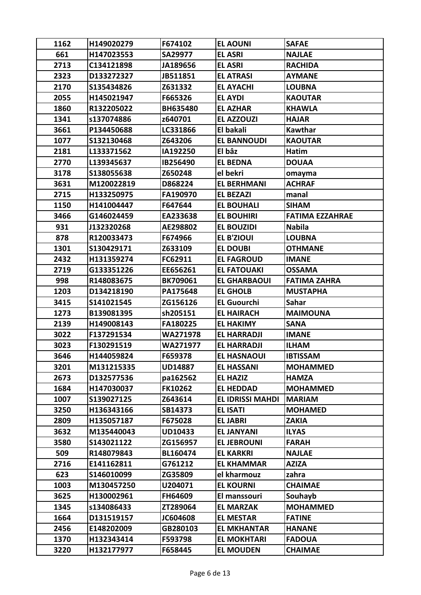| 1162 | H149020279 | F674102         | <b>EL AOUNI</b>         | <b>SAFAE</b>           |
|------|------------|-----------------|-------------------------|------------------------|
| 661  | H147023553 | SA29977         | <b>EL ASRI</b>          | <b>NAJLAE</b>          |
| 2713 | C134121898 | JA189656        | <b>EL ASRI</b>          | <b>RACHIDA</b>         |
| 2323 | D133272327 | JB511851        | <b>EL ATRASI</b>        | <b>AYMANE</b>          |
| 2170 | S135434826 | Z631332         | <b>EL AYACHI</b>        | <b>LOUBNA</b>          |
| 2055 | H145021947 | F665326         | <b>EL AYDI</b>          | <b>KAOUTAR</b>         |
| 1860 | R132205022 | BH635480        | <b>EL AZHAR</b>         | <b>KHAWLA</b>          |
| 1341 | s137074886 | z640701         | <b>EL AZZOUZI</b>       | <b>HAJAR</b>           |
| 3661 | P134450688 | LC331866        | El bakali               | Kawthar                |
| 1077 | S132130468 | Z643206         | <b>EL BANNOUDI</b>      | <b>KAOUTAR</b>         |
| 2181 | L133371562 | IA192250        | El bâz                  | Hatim                  |
| 2770 | L139345637 | IB256490        | <b>EL BEDNA</b>         | <b>DOUAA</b>           |
| 3178 | S138055638 | Z650248         | el bekri                | omayma                 |
| 3631 | M120022819 | D868224         | <b>EL BERHMANI</b>      | <b>ACHRAF</b>          |
| 2715 | H133250975 | FA190970        | <b>EL BEZAZI</b>        | manal                  |
| 1150 | H141004447 | F647644         | <b>EL BOUHALI</b>       | <b>SIHAM</b>           |
| 3466 | G146024459 | EA233638        | <b>EL BOUHIRI</b>       | <b>FATIMA EZZAHRAE</b> |
| 931  | J132320268 | AE298802        | <b>EL BOUZIDI</b>       | <b>Nabila</b>          |
| 878  | R120033473 | F674966         | <b>EL B'ZIOUI</b>       | <b>LOUBNA</b>          |
| 1301 | S130429171 | Z633109         | <b>EL DOUBI</b>         | <b>OTHMANE</b>         |
| 2432 | H131359274 | FC62911         | <b>EL FAGROUD</b>       | <b>IMANE</b>           |
| 2719 | G133351226 | EE656261        | <b>EL FATOUAKI</b>      | <b>OSSAMA</b>          |
| 998  | R148083675 | <b>BK709061</b> | <b>EL GHARBAOUI</b>     | <b>FATIMA ZAHRA</b>    |
| 1203 | D134218190 | PA175648        | <b>EL GHOLB</b>         | <b>MUSTAPHA</b>        |
| 3415 | S141021545 | ZG156126        | <b>EL Guourchi</b>      | <b>Sahar</b>           |
| 1273 | B139081395 | sh205151        | <b>EL HAIRACH</b>       | <b>MAIMOUNA</b>        |
| 2139 | H149008143 | FA180225        | <b>EL HAKIMY</b>        | <b>SANA</b>            |
| 3022 | F137291534 | WA271978        | <b>EL HARRADJI</b>      | <b>IMANE</b>           |
| 3023 | F130291519 | WA271977        | <b>EL HARRADJI</b>      | <b>ILHAM</b>           |
| 3646 | H144059824 | F659378         | <b>EL HASNAOUI</b>      | <b>IBTISSAM</b>        |
| 3201 | M131215335 | <b>UD14887</b>  | <b>EL HASSANI</b>       | <b>MOHAMMED</b>        |
| 2673 | D132577536 | pa162562        | <b>EL HAZIZ</b>         | <b>HAMZA</b>           |
| 1684 | H147030037 | <b>FK10262</b>  | <b>EL HEDDAD</b>        | <b>MOHAMMED</b>        |
| 1007 | S139027125 | Z643614         | <b>EL IDRISSI MAHDI</b> | <b>MARIAM</b>          |
| 3250 | H136343166 | SB14373         | <b>EL ISATI</b>         | <b>MOHAMED</b>         |
| 2809 | H135057187 | F675028         | <b>EL JABRI</b>         | <b>ZAKIA</b>           |
| 3632 | M135440043 | <b>UD10433</b>  | <b>EL JANYANI</b>       | <b>ILYAS</b>           |
| 3580 | S143021122 | ZG156957        | <b>EL JEBROUNI</b>      | <b>FARAH</b>           |
| 509  | R148079843 | BL160474        | <b>EL KARKRI</b>        | <b>NAJLAE</b>          |
| 2716 | E141162811 | G761212         | <b>EL KHAMMAR</b>       | <b>AZIZA</b>           |
| 623  | S146010099 | ZG35809         | el kharmouz             | zahra                  |
| 1003 | M130457250 | U204071         | <b>EL KOURNI</b>        | <b>CHAIMAE</b>         |
| 3625 | H130002961 | FH64609         | El manssouri            | Souhayb                |
| 1345 | s134086433 | ZT289064        | <b>EL MARZAK</b>        | <b>MOHAMMED</b>        |
| 1664 | D131519157 | JC604608        | <b>EL MESTAR</b>        | <b>FATINE</b>          |
| 2456 | E148202009 | GB280103        | <b>EL MKHANTAR</b>      | <b>HANANE</b>          |
| 1370 | H132343414 | F593798         | <b>EL MOKHTARI</b>      | <b>FADOUA</b>          |
| 3220 | H132177977 | F658445         | <b>EL MOUDEN</b>        | <b>CHAIMAE</b>         |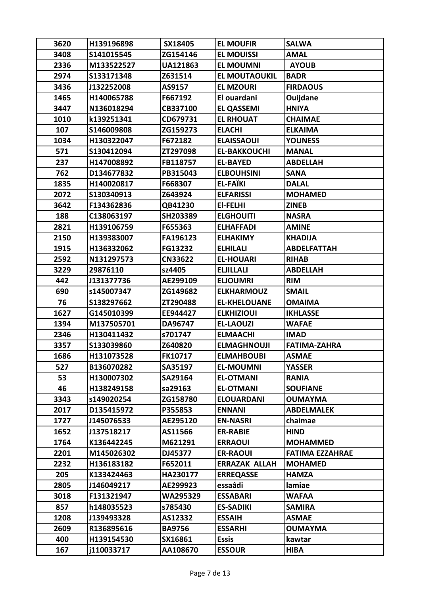| 3620 | H139196898 | SX18405         | <b>EL MOUFIR</b>     | <b>SALWA</b>           |
|------|------------|-----------------|----------------------|------------------------|
| 3408 | S141015545 | ZG154146        | <b>EL MOUISSI</b>    | <b>AMAL</b>            |
| 2336 | M133522527 | <b>UA121863</b> | <b>EL MOUMNI</b>     | <b>AYOUB</b>           |
| 2974 | S133171348 | Z631514         | <b>EL MOUTAOUKIL</b> | <b>BADR</b>            |
| 3436 | J132252008 | AS9157          | <b>EL MZOURI</b>     | <b>FIRDAOUS</b>        |
| 1465 | H140065788 | F667192         | El ouardani          | Ouijdane               |
| 3447 | N136018294 | CB337100        | <b>EL QASSEMI</b>    | <b>HNIYA</b>           |
| 1010 | k139251341 | CD679731        | <b>EL RHOUAT</b>     | <b>CHAIMAE</b>         |
| 107  | S146009808 | ZG159273        | <b>ELACHI</b>        | <b>ELKAIMA</b>         |
| 1034 | H130322047 | F672182         | <b>ELAISSAOUI</b>    | <b>YOUNESS</b>         |
| 571  | S130412094 | ZT297098        | <b>EL-BAKKOUCHI</b>  | <b>MANAL</b>           |
| 237  | H147008892 | FB118757        | <b>EL-BAYED</b>      | <b>ABDELLAH</b>        |
| 762  | D134677832 | PB315043        | <b>ELBOUHSINI</b>    | <b>SANA</b>            |
| 1835 | H140020817 | F668307         | <b>EL-FAÏKI</b>      | <b>DALAL</b>           |
| 2072 | S130340913 | Z643924         | <b>ELFARISSI</b>     | <b>MOHAMED</b>         |
| 3642 | F134362836 | QB41230         | EI-FELHI             | <b>ZINEB</b>           |
| 188  | C138063197 | SH203389        | <b>ELGHOUITI</b>     | <b>NASRA</b>           |
| 2821 | H139106759 | F655363         | <b>ELHAFFADI</b>     | <b>AMINE</b>           |
| 2150 | H139383007 | FA196123        | <b>ELHAKIMY</b>      | <b>KHADIJA</b>         |
| 1915 | H136332062 | FG13232         | <b>ELHILALI</b>      | <b>ABDELFATTAH</b>     |
| 2592 | N131297573 | <b>CN33622</b>  | <b>EL-HOUARI</b>     | <b>RIHAB</b>           |
| 3229 | 29876110   | sz4405          | <b>ELJILLALI</b>     | <b>ABDELLAH</b>        |
| 442  | J131377736 | AE299109        | <b>ELJOUMRI</b>      | <b>RIM</b>             |
| 690  | s145007347 | ZG149682        | <b>ELKHARMOUZ</b>    | <b>SMAIL</b>           |
| 76   | S138297662 | ZT290488        | <b>EL-KHELOUANE</b>  | <b>OMAIMA</b>          |
| 1627 | G145010399 | EE944427        | <b>ELKHIZIOUI</b>    | <b>IKHLASSE</b>        |
| 1394 | M137505701 | DA96747         | <b>EL-LAOUZI</b>     | <b>WAFAE</b>           |
| 2346 | H130411432 | s701747         | <b>ELMAACHI</b>      | <b>IMAD</b>            |
| 3357 | S133039860 | Z640820         | <b>ELMAGHNOUJI</b>   | <b>FATIMA-ZAHRA</b>    |
| 1686 | H131073528 | <b>FK10717</b>  | <b>ELMAHBOUBI</b>    | <b>ASMAE</b>           |
| 527  | B136070282 | SA35197         | <b>EL-MOUMNI</b>     | <b>YASSER</b>          |
| 53   | H130007302 | SA29164         | <b>EL-OTMANI</b>     | <b>RANIA</b>           |
| 46   | H138249158 | sa29163         | <b>EL-OTMANI</b>     | <b>SOUFIANE</b>        |
| 3343 | s149020254 | ZG158780        | <b>ELOUARDANI</b>    | <b>OUMAYMA</b>         |
| 2017 | D135415972 | P355853         | <b>ENNANI</b>        | ABDELMALEK             |
| 1727 | J145076533 | AE295120        | <b>EN-NASRI</b>      | chaimae                |
| 1652 | J137518217 | AS11566         | <b>ER-RABIE</b>      | <b>HIND</b>            |
| 1764 | K136442245 | M621291         | <b>ERRAOUI</b>       | <b>MOHAMMED</b>        |
| 2201 | M145026302 | DJ45377         | <b>ER-RAOUI</b>      | <b>FATIMA EZZAHRAE</b> |
| 2232 | H136183182 | F652011         | <b>ERRAZAK ALLAH</b> | <b>MOHAMED</b>         |
| 205  | K133424463 | HA230177        | <b>ERREQASSE</b>     | HAMZA                  |
| 2805 | J146049217 | AE299923        | essaâdi              | lamiae                 |
| 3018 | F131321947 | WA295329        | <b>ESSABARI</b>      | <b>WAFAA</b>           |
| 857  | h148035523 | s785430         | <b>ES-SADIKI</b>     | <b>SAMIRA</b>          |
| 1208 | J139493328 | AS12332         | <b>ESSAIH</b>        | <b>ASMAE</b>           |
| 2609 | R136895616 | <b>BA9756</b>   | <b>ESSARHI</b>       | <b>OUMAYMA</b>         |
| 400  | H139154530 | SX16861         | <b>Essis</b>         | kawtar                 |
| 167  | j110033717 | AA108670        | <b>ESSOUR</b>        | <b>HIBA</b>            |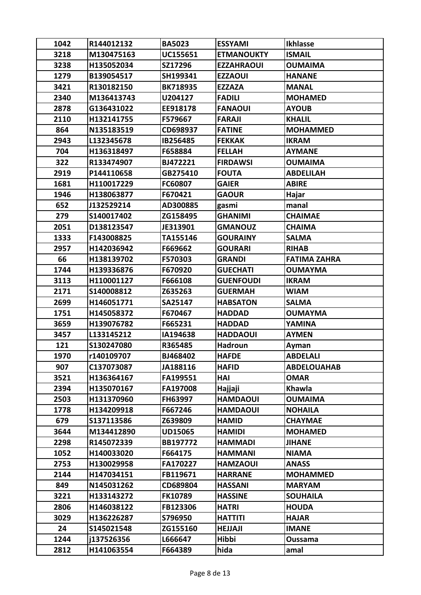| 1042 | R144012132 | <b>BA5023</b>   | <b>ESSYAMI</b>    | <b>Ikhlasse</b>     |
|------|------------|-----------------|-------------------|---------------------|
| 3218 | M130475163 | UC155651        | <b>ETMANOUKTY</b> | <b>ISMAIL</b>       |
| 3238 | H135052034 | SZ17296         | <b>EZZAHRAOUI</b> | <b>OUMAIMA</b>      |
| 1279 | B139054517 | SH199341        | <b>EZZAOUI</b>    | <b>HANANE</b>       |
| 3421 | R130182150 | <b>BK718935</b> | <b>EZZAZA</b>     | <b>MANAL</b>        |
| 2340 | M136413743 | U204127         | <b>FADILI</b>     | <b>MOHAMED</b>      |
| 2878 | G136431022 | EE918178        | <b>FANAOUI</b>    | <b>AYOUB</b>        |
| 2110 | H132141755 | F579667         | <b>FARAJI</b>     | <b>KHALIL</b>       |
| 864  | N135183519 | CD698937        | <b>FATINE</b>     | <b>MOHAMMED</b>     |
| 2943 | L132345678 | IB256485        | <b>FEKKAK</b>     | <b>IKRAM</b>        |
| 704  | H136318497 | F658884         | <b>FELLAH</b>     | <b>AYMANE</b>       |
| 322  | R133474907 | BJ472221        | <b>FIRDAWSI</b>   | <b>OUMAIMA</b>      |
| 2919 | P144110658 | GB275410        | <b>FOUTA</b>      | <b>ABDELILAH</b>    |
| 1681 | H110017229 | FC60807         | <b>GAIER</b>      | <b>ABIRE</b>        |
| 1946 | H138063877 | F670421         | <b>GAOUR</b>      | Hajar               |
| 652  | J132529214 | AD300885        | gasmi             | manal               |
| 279  | S140017402 | ZG158495        | <b>GHANIMI</b>    | <b>CHAIMAE</b>      |
| 2051 | D138123547 | JE313901        | <b>GMANOUZ</b>    | <b>CHAIMA</b>       |
| 1333 | F143008825 | TA155146        | <b>GOURAINY</b>   | <b>SALMA</b>        |
| 2957 | H142036942 | F669662         | <b>GOURARI</b>    | <b>RIHAB</b>        |
| 66   | H138139702 | F570303         | <b>GRANDI</b>     | <b>FATIMA ZAHRA</b> |
| 1744 | H139336876 | F670920         | <b>GUECHATI</b>   | <b>OUMAYMA</b>      |
| 3113 | H110001127 | F666108         | <b>GUENFOUDI</b>  | <b>IKRAM</b>        |
| 2171 | S140008812 | Z635263         | <b>GUERMAH</b>    | <b>WIAM</b>         |
| 2699 | H146051771 | SA25147         | <b>HABSATON</b>   | <b>SALMA</b>        |
| 1751 | H145058372 | F670467         | <b>HADDAD</b>     | <b>OUMAYMA</b>      |
| 3659 | H139076782 | F665231         | <b>HADDAD</b>     | YAMINA              |
| 3457 | L133145212 | IA194638        | <b>HADDAOUI</b>   | <b>AYMEN</b>        |
| 121  | S130247080 | R365485         | Hadroun           | Ayman               |
| 1970 | r140109707 | BJ468402        | <b>HAFDE</b>      | <b>ABDELALI</b>     |
| 907  | C137073087 | JA188116        | <b>HAFID</b>      | <b>ABDELOUAHAB</b>  |
| 3521 | H136364167 | FA199551        | HAI               | <b>OMAR</b>         |
| 2394 | H135070167 | FA197008        | Hajjaji           | Khawla              |
| 2503 | H131370960 | FH63997         | <b>HAMDAOUI</b>   | <b>OUMAIMA</b>      |
| 1778 | H134209918 | F667246         | <b>HAMDAOUI</b>   | <b>NOHAILA</b>      |
| 679  | S137113586 | Z639809         | <b>HAMID</b>      | <b>CHAYMAE</b>      |
| 3644 | M134412890 | <b>UD15065</b>  | <b>HAMIDI</b>     | <b>MOHAMED</b>      |
| 2298 | R145072339 | BB197772        | <b>HAMMADI</b>    | <b>JIHANE</b>       |
| 1052 | H140033020 | F664175         | <b>HAMMANI</b>    | <b>NIAMA</b>        |
| 2753 | H130029958 | FA170227        | <b>HAMZAOUI</b>   | <b>ANASS</b>        |
| 2144 | H147034151 | FB119671        | <b>HARRANE</b>    | <b>MOHAMMED</b>     |
| 849  | N145031262 | CD689804        | <b>HASSANI</b>    | <b>MARYAM</b>       |
| 3221 | H133143272 | <b>FK10789</b>  | <b>HASSINE</b>    | <b>SOUHAILA</b>     |
| 2806 | H146038122 | FB123306        | <b>HATRI</b>      | <b>HOUDA</b>        |
| 3029 | H136226287 | S796950         | <b>HATTITI</b>    | <b>HAJAR</b>        |
| 24   | S145021548 | ZG155160        | <b>HEJJAJI</b>    | <b>IMANE</b>        |
| 1244 | j137526356 | L666647         | Hibbi             | Oussama             |
| 2812 | H141063554 | F664389         | hida              | amal                |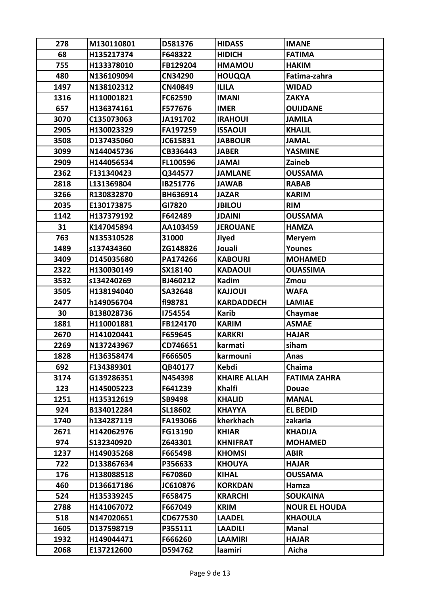| 278  | M130110801 | D581376        | <b>HIDASS</b>       | <b>IMANE</b>         |
|------|------------|----------------|---------------------|----------------------|
| 68   | H135217374 | F648322        | <b>HIDICH</b>       | <b>FATIMA</b>        |
| 755  | H133378010 | FB129204       | <b>HMAMOU</b>       | <b>HAKIM</b>         |
| 480  | N136109094 | <b>CN34290</b> | <b>HOUQQA</b>       | Fatima-zahra         |
| 1497 | N138102312 | CN40849        | <b>ILILA</b>        | <b>WIDAD</b>         |
| 1316 | H110001821 | FC62590        | <b>IMANI</b>        | <b>ZAKYA</b>         |
| 657  | H136374161 | F577676        | <b>IMER</b>         | <b>OUIJDANE</b>      |
| 3070 | C135073063 | JA191702       | <b>IRAHOUI</b>      | <b>JAMILA</b>        |
| 2905 | H130023329 | FA197259       | <b>ISSAOUI</b>      | <b>KHALIL</b>        |
| 3508 | D137435060 | JC615831       | <b>JABBOUR</b>      | <b>JAMAL</b>         |
| 3099 | N144045736 | CB336443       | <b>JABER</b>        | <b>YASMINE</b>       |
| 2909 | H144056534 | FL100596       | <b>JAMAI</b>        | Zaineb               |
| 2362 | F131340423 | Q344577        | <b>JAMLANE</b>      | <b>OUSSAMA</b>       |
| 2818 | L131369804 | IB251776       | <b>JAWAB</b>        | <b>RABAB</b>         |
| 3266 | R130832870 | BH636914       | <b>JAZAR</b>        | <b>KARIM</b>         |
| 2035 | E130173875 | GI7820         | <b>JBILOU</b>       | <b>RIM</b>           |
| 1142 | H137379192 | F642489        | <b>JDAINI</b>       | <b>OUSSAMA</b>       |
| 31   | K147045894 | AA103459       | <b>JEROUANE</b>     | <b>HAMZA</b>         |
| 763  | N135310528 | 31000          | <b>Jiyed</b>        | <b>Meryem</b>        |
| 1489 | s137434360 | ZG148826       | Jouali              | <b>Younes</b>        |
| 3409 | D145035680 | PA174266       | <b>KABOURI</b>      | <b>MOHAMED</b>       |
| 2322 | H130030149 | SX18140        | <b>KADAOUI</b>      | <b>OUASSIMA</b>      |
| 3532 | s134240269 | BJ460212       | <b>Kadim</b>        | Zmou                 |
| 3505 | H138194040 | SA32648        | <b>KAJJOUI</b>      | <b>WAFA</b>          |
| 2477 | h149056704 | f198781        | <b>KARDADDECH</b>   | <b>LAMIAE</b>        |
| 30   | B138028736 | 1754554        | <b>Karib</b>        | Chaymae              |
| 1881 | H110001881 | FB124170       | <b>KARIM</b>        | <b>ASMAE</b>         |
| 2670 | H141020441 | F659645        | <b>KARKRI</b>       | <b>HAJAR</b>         |
| 2269 | N137243967 | CD746651       | karmati             | siham                |
| 1828 | H136358474 | F666505        | <b>karmouni</b>     | Anas                 |
| 692  | F134389301 | QB40177        | <b>Kebdi</b>        | Chaima               |
| 3174 | G139286351 | N454398        | <b>KHAIRE ALLAH</b> | <b>FATIMA ZAHRA</b>  |
| 123  | H145005223 | F641239        | Khalfi              | <b>Douae</b>         |
| 1251 | H135312619 | SB9498         | <b>KHALID</b>       | <b>MANAL</b>         |
| 924  | B134012284 | SL18602        | <b>KHAYYA</b>       | <b>EL BEDID</b>      |
| 1740 | h134287119 | FA193066       | kherkhach           | zakaria              |
| 2671 | H142062976 | FG13190        | <b>KHIAR</b>        | <b>KHADIJA</b>       |
| 974  | S132340920 | Z643301        | <b>KHNIFRAT</b>     | <b>MOHAMED</b>       |
| 1237 | H149035268 | F665498        | <b>KHOMSI</b>       | <b>ABIR</b>          |
| 722  | D133867634 | P356633        | <b>KHOUYA</b>       | <b>HAJAR</b>         |
| 176  | H138088518 | F670860        | <b>KIHAL</b>        | <b>OUSSAMA</b>       |
| 460  | D136617186 | JC610876       | <b>KORKDAN</b>      | Hamza                |
| 524  | H135339245 | F658475        | <b>KRARCHI</b>      | <b>SOUKAINA</b>      |
| 2788 | H141067072 | F667049        | <b>KRIM</b>         | <b>NOUR EL HOUDA</b> |
| 518  | N147020651 | CD677530       | <b>LAADEL</b>       | <b>KHAOULA</b>       |
| 1605 | D137598719 | P355111        | <b>LAADILI</b>      | <b>Manal</b>         |
| 1932 | H149044471 | F666260        | <b>LAAMIRI</b>      | <b>HAJAR</b>         |
| 2068 | E137212600 | D594762        | laamiri             | Aicha                |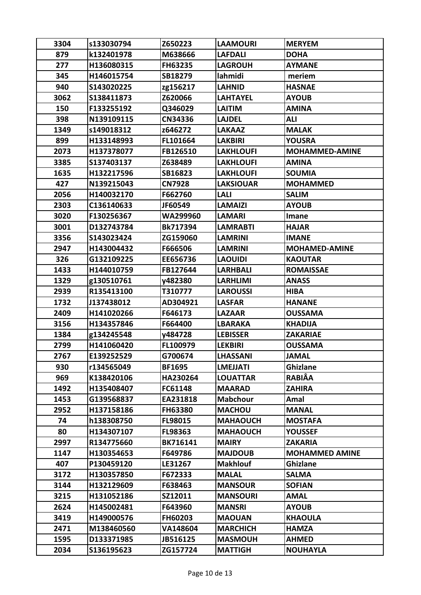| 3304 | s133030794 | Z650223        | <b>LAAMOURI</b>  | <b>MERYEM</b>         |
|------|------------|----------------|------------------|-----------------------|
| 879  | k132401978 | M638666        | <b>LAFDALI</b>   | <b>DOHA</b>           |
| 277  | H136080315 | FH63235        | <b>LAGROUH</b>   | <b>AYMANE</b>         |
| 345  | H146015754 | SB18279        | lahmidi          | meriem                |
| 940  | S143020225 | zg156217       | <b>LAHNID</b>    | <b>HASNAE</b>         |
| 3062 | S138411873 | Z620066        | <b>LAHTAYEL</b>  | <b>AYOUB</b>          |
| 150  | F133255192 | Q346029        | <b>LAITIM</b>    | <b>AMINA</b>          |
| 398  | N139109115 | CN34336        | <b>LAJDEL</b>    | ALI                   |
| 1349 | s149018312 | z646272        | <b>LAKAAZ</b>    | <b>MALAK</b>          |
| 899  | H133148993 | FL101664       | <b>LAKBIRI</b>   | <b>YOUSRA</b>         |
| 2073 | H137378077 | FB126510       | <b>LAKHLOUFI</b> | <b>MOHAMMED-AMINE</b> |
| 3385 | S137403137 | Z638489        | <b>LAKHLOUFI</b> | <b>AMINA</b>          |
| 1635 | H132217596 | SB16823        | <b>LAKHLOUFI</b> | <b>SOUMIA</b>         |
| 427  | N139215043 | <b>CN7928</b>  | <b>LAKSIOUAR</b> | <b>MOHAMMED</b>       |
| 2056 | H140032170 | F662760        | LALI             | <b>SALIM</b>          |
| 2303 | C136140633 | JF60549        | <b>LAMAIZI</b>   | <b>AYOUB</b>          |
| 3020 | F130256367 | WA299960       | <b>LAMARI</b>    | Imane                 |
| 3001 | D132743784 | Bk717394       | <b>LAMRABTI</b>  | <b>HAJAR</b>          |
| 3356 | S143023424 | ZG159060       | <b>LAMRINI</b>   | <b>IMANE</b>          |
| 2947 | H143004432 | F666506        | LAMRINI          | <b>MOHAMED-AMINE</b>  |
| 326  | G132109225 | EE656736       | <b>LAOUIDI</b>   | <b>KAOUTAR</b>        |
| 1433 | H144010759 | FB127644       | <b>LARHBALI</b>  | <b>ROMAISSAE</b>      |
| 1329 | g130510761 | y482380        | LARHLIMI         | <b>ANASS</b>          |
| 2939 | R135413100 | T310777        | <b>LAROUSSI</b>  | <b>HIBA</b>           |
| 1732 | J137438012 | AD304921       | <b>LASFAR</b>    | <b>HANANE</b>         |
| 2409 | H141020266 | F646173        | <b>LAZAAR</b>    | <b>OUSSAMA</b>        |
| 3156 | H134357846 | F664400        | <b>LBARAKA</b>   | <b>KHADIJA</b>        |
| 1384 | g134245548 | y484728        | <b>LEBISSER</b>  | <b>ZAKARIAE</b>       |
| 2799 | H141060420 | FL100979       | <b>LEKBIRI</b>   | <b>OUSSAMA</b>        |
| 2767 | E139252529 | G700674        | <b>LHASSANI</b>  | JAMAL                 |
| 930  | r134565049 | <b>BF1695</b>  | <b>LMEJJATI</b>  | <b>Ghizlane</b>       |
| 969  | K138420106 | HA230264       | <b>LOUATTAR</b>  | <b>RABIÂA</b>         |
| 1492 | H135408407 | FC61148        | <b>MAARAD</b>    | <b>ZAHIRA</b>         |
| 1453 | G139568837 | EA231818       | <b>Mabchour</b>  | Amal                  |
| 2952 | H137158186 | <b>FH63380</b> | <b>MACHOU</b>    | <b>MANAL</b>          |
| 74   | h138308750 | FL98015        | <b>MAHAOUCH</b>  | <b>MOSTAFA</b>        |
| 80   | H134307107 | FL98363        | <b>MAHAOUCH</b>  | <b>YOUSSEF</b>        |
| 2997 | R134775660 | BK716141       | <b>MAIRY</b>     | <b>ZAKARIA</b>        |
| 1147 | H130354653 | F649786        | <b>MAJDOUB</b>   | <b>MOHAMMED AMINE</b> |
| 407  | P130459120 | LE31267        | <b>Makhlouf</b>  | <b>Ghizlane</b>       |
| 3172 | H130357850 | F672333        | <b>MALAL</b>     | <b>SALMA</b>          |
| 3144 | H132129609 | F638463        | <b>MANSOUR</b>   | <b>SOFIAN</b>         |
| 3215 | H131052186 | SZ12011        | <b>MANSOURI</b>  | <b>AMAL</b>           |
| 2624 | H145002481 | F643960        | <b>MANSRI</b>    | <b>AYOUB</b>          |
| 3419 | H149000576 | FH60203        | <b>MAOUAN</b>    | <b>KHAOULA</b>        |
| 2471 | M138460560 | VA148604       | <b>MARCHICH</b>  | <b>HAMZA</b>          |
| 1595 | D133371985 | JB516125       | <b>MASMOUH</b>   | <b>AHMED</b>          |
| 2034 | S136195623 | ZG157724       | <b>MATTIGH</b>   | <b>NOUHAYLA</b>       |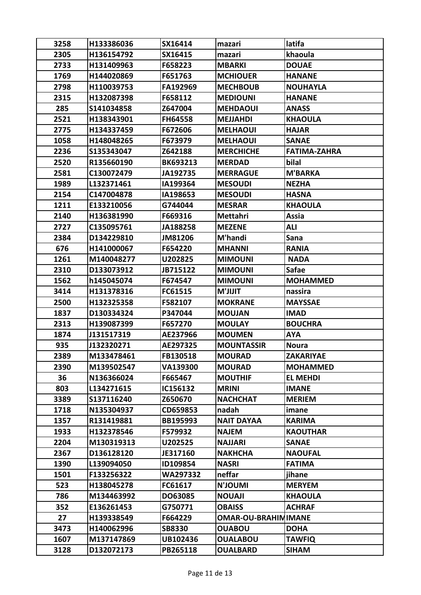| 3258 | H133386036 | SX16414         | mazari                     | latifa              |
|------|------------|-----------------|----------------------------|---------------------|
| 2305 | H136154792 | SX16415         | mazari                     | khaoula             |
| 2733 | H131409963 | F658223         | <b>MBARKI</b>              | <b>DOUAE</b>        |
| 1769 | H144020869 | F651763         | <b>MCHIOUER</b>            | <b>HANANE</b>       |
| 2798 | H110039753 | FA192969        | <b>MECHBOUB</b>            | <b>NOUHAYLA</b>     |
| 2315 | H132087398 | F658112         | <b>MEDIOUNI</b>            | <b>HANANE</b>       |
| 285  | S141034858 | Z647004         | <b>MEHDAOUI</b>            | <b>ANASS</b>        |
| 2521 | H138343901 | <b>FH64558</b>  | <b>MEJJAHDI</b>            | <b>KHAOULA</b>      |
| 2775 | H134337459 | F672606         | <b>MELHAOUI</b>            | <b>HAJAR</b>        |
| 1058 | H148048265 | F673979         | <b>MELHAOUI</b>            | <b>SANAE</b>        |
| 2236 | S135343047 | Z642188         | <b>MERCHICHE</b>           | <b>FATIMA-ZAHRA</b> |
| 2520 | R135660190 | <b>BK693213</b> | <b>MERDAD</b>              | bilal               |
| 2581 | C130072479 | JA192735        | <b>MERRAGUE</b>            | <b>M'BARKA</b>      |
| 1989 | L132371461 | IA199364        | <b>MESOUDI</b>             | <b>NEZHA</b>        |
| 2154 | C147004878 | IA198653        | <b>MESOUDI</b>             | <b>HASNA</b>        |
| 1211 | E133210056 | G744044         | <b>MESRAR</b>              | <b>KHAOULA</b>      |
| 2140 | H136381990 | F669316         | Mettahri                   | Assia               |
| 2727 | C135095761 | JA188258        | <b>MEZENE</b>              | ALI                 |
| 2384 | D134229810 | JM81206         | M'handi                    | Sana                |
| 676  | H141000067 | F654220         | <b>MHANNI</b>              | <b>RANIA</b>        |
| 1261 | M140048277 | U202825         | <b>MIMOUNI</b>             | <b>NADA</b>         |
| 2310 | D133073912 | JB715122        | <b>MIMOUNI</b>             | <b>Safae</b>        |
| 1562 | h145045074 | F674547         | <b>MIMOUNI</b>             | <b>MOHAMMED</b>     |
| 3414 | H131378316 | FC61515         | <b>TILIL'M</b>             | nassira             |
| 2500 | H132325358 | F582107         | <b>MOKRANE</b>             | <b>MAYSSAE</b>      |
| 1837 | D130334324 | P347044         | <b>MOUJAN</b>              | <b>IMAD</b>         |
| 2313 | H139087399 | F657270         | <b>MOULAY</b>              | <b>BOUCHRA</b>      |
| 1874 | J131517319 | AE237966        | <b>MOUMEN</b>              | <b>AYA</b>          |
| 935  | J132320271 | AE297325        | <b>MOUNTASSIR</b>          | <b>Noura</b>        |
| 2389 | M133478461 | <b>FB130518</b> | <b>MOURAD</b>              | <b>ZAKARIYAE</b>    |
| 2390 | M139502547 | VA139300        | <b>MOURAD</b>              | <b>MOHAMMED</b>     |
| 36   | N136366024 | F665467         | <b>MOUTHIF</b>             | <b>EL MEHDI</b>     |
| 803  | L134271615 | IC156132        | <b>MRINI</b>               | <b>IMANE</b>        |
| 3389 | S137116240 | Z650670         | <b>NACHCHAT</b>            | <b>MERIEM</b>       |
| 1718 | N135304937 | CD659853        | nadah                      | imane               |
| 1357 | R131419881 | BB195993        | <b>NAIT DAYAA</b>          | <b>KARIMA</b>       |
| 1933 | H132378546 | F579932         | <b>NAJEM</b>               | <b>KAOUTHAR</b>     |
| 2204 | M130319313 | U202525         | <b>NAJJARI</b>             | <b>SANAE</b>        |
| 2367 | D136128120 | JE317160        | <b>NAKHCHA</b>             | <b>NAOUFAL</b>      |
| 1390 | L139094050 | ID109854        | <b>NASRI</b>               | <b>FATIMA</b>       |
| 1501 | F133256322 | WA297332        | neffar                     | jihane              |
| 523  | H138045278 | FC61617         | <b>IMUOL'N</b>             | <b>MERYEM</b>       |
| 786  | M134463992 | DO63085         | <b>NOUAJI</b>              | <b>KHAOULA</b>      |
| 352  | E136261453 | G750771         | <b>OBAISS</b>              | <b>ACHRAF</b>       |
| 27   | H139338549 | F664229         | <b>OMAR-OU-BRAHIMIMANE</b> |                     |
| 3473 | H140062996 | <b>SB8330</b>   | <b>OUABOU</b>              | <b>DOHA</b>         |
| 1607 | M137147869 | UB102436        | <b>OUALABOU</b>            | <b>TAWFIQ</b>       |
| 3128 | D132072173 | PB265118        | <b>OUALBARD</b>            | <b>SIHAM</b>        |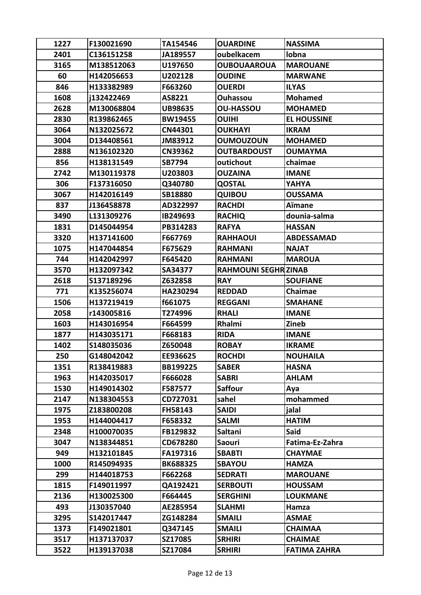| 1227 | F130021690 | TA154546        | <b>OUARDINE</b>            | <b>NASSIMA</b>      |
|------|------------|-----------------|----------------------------|---------------------|
| 2401 | C136151258 | JA189557        | oubelkacem                 | lobna               |
| 3165 | M138512063 | U197650         | <b>OUBOUAAROUA</b>         | <b>MAROUANE</b>     |
| 60   | H142056653 | U202128         | <b>OUDINE</b>              | <b>MARWANE</b>      |
| 846  | H133382989 | F663260         | <b>OUERDI</b>              | <b>ILYAS</b>        |
| 1608 | i132422469 | AS8221          | Ouhassou                   | <b>Mohamed</b>      |
| 2628 | M130068804 | <b>UB98635</b>  | <b>OU-HASSOU</b>           | <b>MOHAMED</b>      |
| 2830 | R139862465 | <b>BW19455</b>  | <b>OUIHI</b>               | <b>EL HOUSSINE</b>  |
| 3064 | N132025672 | CN44301         | <b>OUKHAYI</b>             | <b>IKRAM</b>        |
| 3004 | D134408561 | JM83912         | <b>OUMOUZOUN</b>           | <b>MOHAMED</b>      |
| 2888 | N136102320 | CN39362         | <b>OUTBARDOUST</b>         | <b>OUMAYMA</b>      |
| 856  | H138131549 | <b>SB7794</b>   | outichout                  | chaimae             |
| 2742 | M130119378 | U203803         | <b>OUZAINA</b>             | <b>IMANE</b>        |
| 306  | F137316050 | Q340780         | <b>QOSTAL</b>              | YAHYA               |
| 3067 | H142016149 | SB18880         | <b>QUIBOU</b>              | <b>OUSSAMA</b>      |
| 837  | J136458878 | AD322997        | <b>RACHDI</b>              | Aïmane              |
| 3490 | L131309276 | IB249693        | <b>RACHIQ</b>              | dounia-salma        |
| 1831 | D145044954 | PB314283        | <b>RAFYA</b>               | <b>HASSAN</b>       |
| 3320 | H137141600 | F667769         | <b>RAHHAOUI</b>            | <b>ABDESSAMAD</b>   |
| 1075 | H147044854 | F675629         | <b>RAHMANI</b>             | <b>NAJAT</b>        |
| 744  | H142042997 | F645420         | <b>RAHMANI</b>             | <b>MAROUA</b>       |
| 3570 | H132097342 | SA34377         | <b>RAHMOUNI SEGHRZINAB</b> |                     |
| 2618 | S137189296 | Z632858         | <b>RAY</b>                 | <b>SOUFIANE</b>     |
| 771  | K135256074 | HA230294        | <b>REDDAD</b>              | Chaimae             |
| 1506 | H137219419 | f661075         | <b>REGGANI</b>             | <b>SMAHANE</b>      |
| 2058 | r143005816 | T274996         | <b>RHALI</b>               | <b>IMANE</b>        |
| 1603 | H143016954 | F664599         | Rhalmi                     | Zineb               |
| 1877 | H143035171 | F668183         | <b>RIDA</b>                | <b>IMANE</b>        |
| 1402 | S148035036 | Z650048         | <b>ROBAY</b>               | <b>IKRAME</b>       |
| 250  | G148042042 | EE936625        | <b>ROCHDI</b>              | <b>NOUHAILA</b>     |
| 1351 | R138419883 | BB199225        | <b>SABER</b>               | <b>HASNA</b>        |
| 1963 | H142035017 | F666028         | <b>SABRI</b>               | <b>AHLAM</b>        |
| 1530 | H149014302 | F587577         | <b>Saffour</b>             | Aya                 |
| 2147 | N138304553 | CD727031        | sahel                      | mohammed            |
| 1975 | Z183800208 | <b>FH58143</b>  | <b>SAIDI</b>               | jalal               |
| 1953 | H144004417 | F658332         | <b>SALMI</b>               | <b>HATIM</b>        |
| 2348 | H100070035 | FB129832        | <b>Saltani</b>             | Said                |
| 3047 | N138344851 | CD678280        | <b>Saouri</b>              | Fatima-Ez-Zahra     |
| 949  | H132101845 | FA197316        | <b>SBABTI</b>              | <b>CHAYMAE</b>      |
| 1000 | R145094935 | <b>BK688325</b> | <b>SBAYOU</b>              | <b>HAMZA</b>        |
| 299  | H144018753 | F662268         | <b>SEDRATI</b>             | <b>MAROUANE</b>     |
| 1815 | F149011997 | QA192421        | <b>SERBOUTI</b>            | <b>HOUSSAM</b>      |
| 2136 | H130025300 | F664445         | <b>SERGHINI</b>            | <b>LOUKMANE</b>     |
| 493  | J130357040 | AE285954        | <b>SLAHMI</b>              | Hamza               |
| 3295 | S142017447 | ZG148284        | <b>SMAILI</b>              | <b>ASMAE</b>        |
| 1373 | F149021801 | Q347145         | <b>SMAILI</b>              | <b>CHAIMAA</b>      |
| 3517 | H137137037 | SZ17085         | <b>SRHIRI</b>              | <b>CHAIMAE</b>      |
| 3522 | H139137038 | SZ17084         | <b>SRHIRI</b>              | <b>FATIMA ZAHRA</b> |
|      |            |                 |                            |                     |